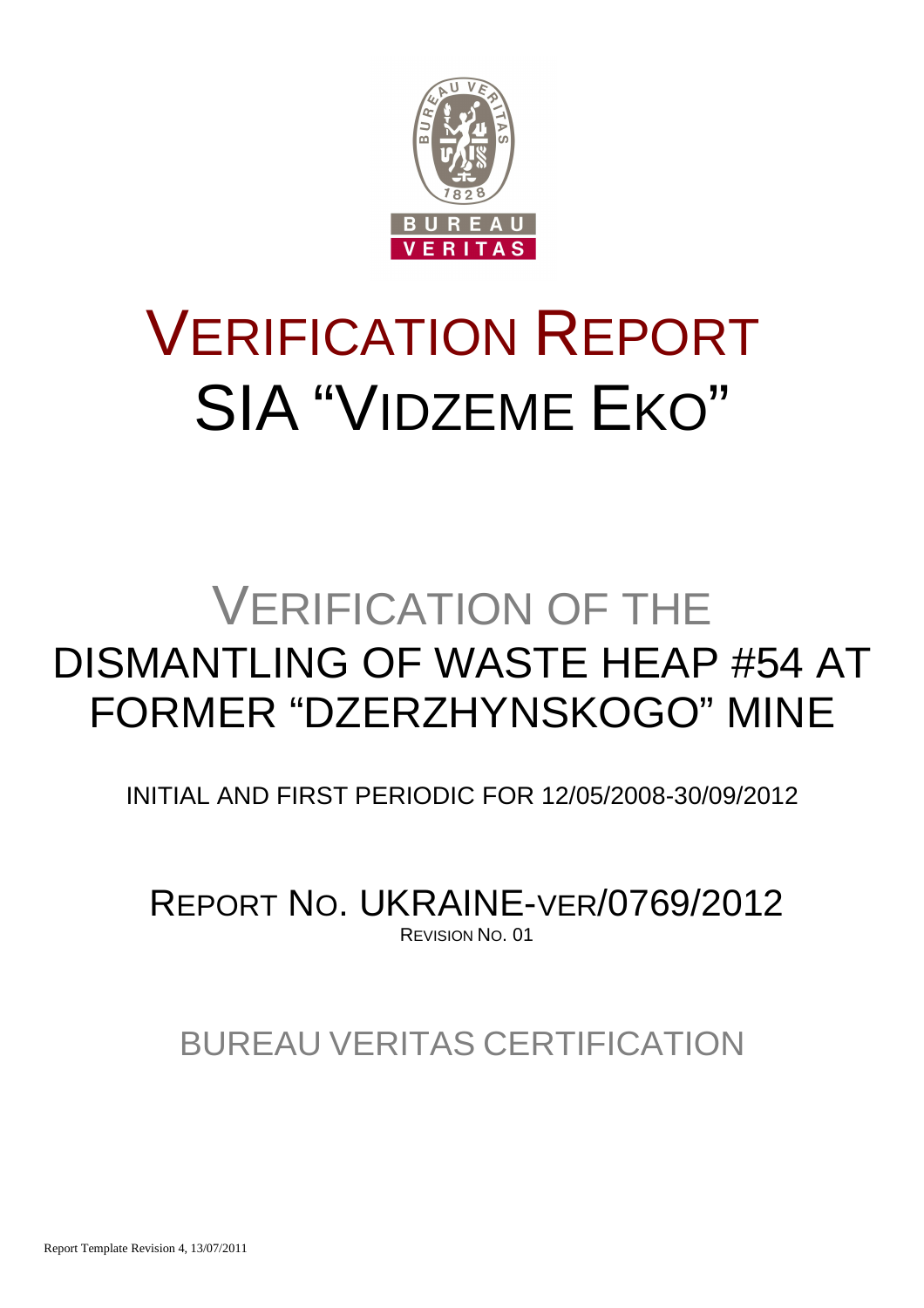

# VERIFICATION REPORT SIA "VIDZEME EKO"

## VERIFICATION OF THE DISMANTLING OF WASTE HEAP #54 AT FORMER "DZERZHYNSKOGO" MINE

INITIAL AND FIRST PERIODIC FOR 12/05/2008-30/09/2012

REPORT NO. UKRAINE-VER/0769/2012 REVISION NO. 01

BUREAU VERITAS CERTIFICATION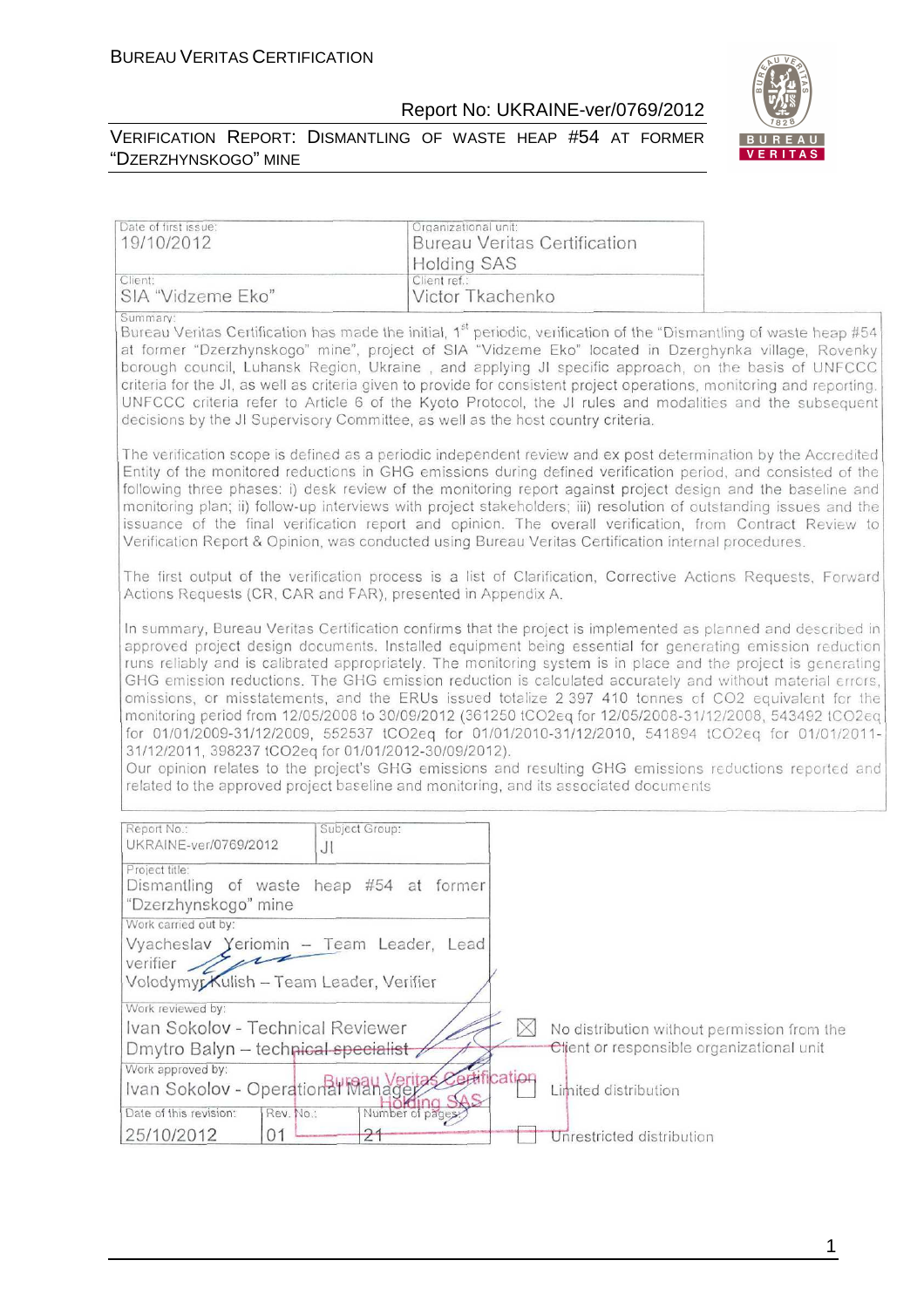Date of first issue:

19/10/2012

#### Report No: UKRAINE-ver/0769/2012

Bureau Veritas Certification



Organizational unit:



|                                                                                                                                                                                                                                                                                                                                                                                                                                                                                                                                                                                                                                                                                                                                                                                                                                                                                                                                                                                                                                              | <b>Holding SAS</b>               |                                                                                          |  |
|----------------------------------------------------------------------------------------------------------------------------------------------------------------------------------------------------------------------------------------------------------------------------------------------------------------------------------------------------------------------------------------------------------------------------------------------------------------------------------------------------------------------------------------------------------------------------------------------------------------------------------------------------------------------------------------------------------------------------------------------------------------------------------------------------------------------------------------------------------------------------------------------------------------------------------------------------------------------------------------------------------------------------------------------|----------------------------------|------------------------------------------------------------------------------------------|--|
| Client:                                                                                                                                                                                                                                                                                                                                                                                                                                                                                                                                                                                                                                                                                                                                                                                                                                                                                                                                                                                                                                      | Client ref.:                     |                                                                                          |  |
| SIA "Vidzeme Eko"<br>Summary:<br>Bureau Veritas Certification has made the initial, 1 <sup>st</sup> periodic, verification of the "Dismantling of waste heap #54<br>at former "Dzerzhynskogo" mine", project of SIA "Vidzeme Eko" located in Dzerghynka village, Rovenky<br>borough council, Luhansk Region, Ukraine, and applying JI specific approach, on the basis of UNFCCC<br>criteria for the JI, as well as criteria given to provide for consistent project operations, monitoring and reporting.<br>UNFCCC criteria refer to Article 6 of the Kyoto Protocol, the JI rules and modalities and the subsequent<br>decisions by the JI Supervisory Committee, as well as the host country criteria.<br>The verification scope is defined as a periodic independent review and ex post determination by the Accredited                                                                                                                                                                                                                  | Victor Tkachenko                 |                                                                                          |  |
| Entity of the monitored reductions in GHG emissions during defined verification period, and consisted of the<br>following three phases: i) desk review of the monitoring report against project design and the baseline and<br>monitoring plan; ii) follow-up interviews with project stakeholders; iii) resolution of outstanding issues and the<br>issuance of the final verification report and opinion. The overall verification, from Contract Review to<br>Verification Report & Opinion, was conducted using Bureau Veritas Certification internal procedures.                                                                                                                                                                                                                                                                                                                                                                                                                                                                        |                                  |                                                                                          |  |
| The first output of the verification process is a list of Clarification, Corrective Actions Requests, Forward<br>Actions Requests (CR, CAR and FAR), presented in Appendix A.                                                                                                                                                                                                                                                                                                                                                                                                                                                                                                                                                                                                                                                                                                                                                                                                                                                                |                                  |                                                                                          |  |
| In summary, Bureau Veritas Certification confirms that the project is implemented as planned and described in<br>approved project design documents. Installed equipment being essential for generating emission reduction<br>runs reliably and is calibrated appropriately. The monitoring system is in place and the project is generating<br>GHG emission reductions. The GHG emission reduction is calculated accurately and without material errors,<br>omissions, or misstatements, and the ERUs issued totalize 2 397 410 tonnes of CO2 equivalent for the<br>monitoring period from 12/05/2008 to 30/09/2012 (361250 tCO2eq for 12/05/2008-31/12/2008, 543492 tCO2eq<br>for 01/01/2009-31/12/2009, 552537 tCO2eq for 01/01/2010-31/12/2010, 541894 tCO2eq for 01/01/2011-<br>31/12/2011, 398237 tCO2eq for 01/01/2012-30/09/2012).<br>Our opinion relates to the project's GHG emissions and resulting GHG emissions reductions reported and<br>related to the approved project baseline and monitoring, and its associated documents |                                  |                                                                                          |  |
| Report No.:<br>Subject Group:<br>UKRAINE-ver/0769/2012<br>JI                                                                                                                                                                                                                                                                                                                                                                                                                                                                                                                                                                                                                                                                                                                                                                                                                                                                                                                                                                                 |                                  |                                                                                          |  |
| Project title:<br>heap #54 at former<br>Dismantling of waste<br>"Dzerzhynskogo" mine<br>Work carried out by:                                                                                                                                                                                                                                                                                                                                                                                                                                                                                                                                                                                                                                                                                                                                                                                                                                                                                                                                 |                                  |                                                                                          |  |
| Vyacheslav Yeriomin - Team Leader, Lead<br>verifier 19<br>Volodymyr Kulish - Team Leader, Verifier                                                                                                                                                                                                                                                                                                                                                                                                                                                                                                                                                                                                                                                                                                                                                                                                                                                                                                                                           |                                  |                                                                                          |  |
| Work reviewed by:<br>Ivan Sokolov - Technical Reviewer<br>Dmytro Balyn - technical specialist                                                                                                                                                                                                                                                                                                                                                                                                                                                                                                                                                                                                                                                                                                                                                                                                                                                                                                                                                | $\times$                         | No distribution without permission from the<br>Client or responsible organizational unit |  |
| Work approved by:<br>Ivan Sokolov - Operational Manager<br>Date of this revision:<br>Rev. No.:<br>25/10/2012<br>Ω1                                                                                                                                                                                                                                                                                                                                                                                                                                                                                                                                                                                                                                                                                                                                                                                                                                                                                                                           | ertification<br>Number of pages: | Limited distribution<br>Unrestricted distribution                                        |  |

1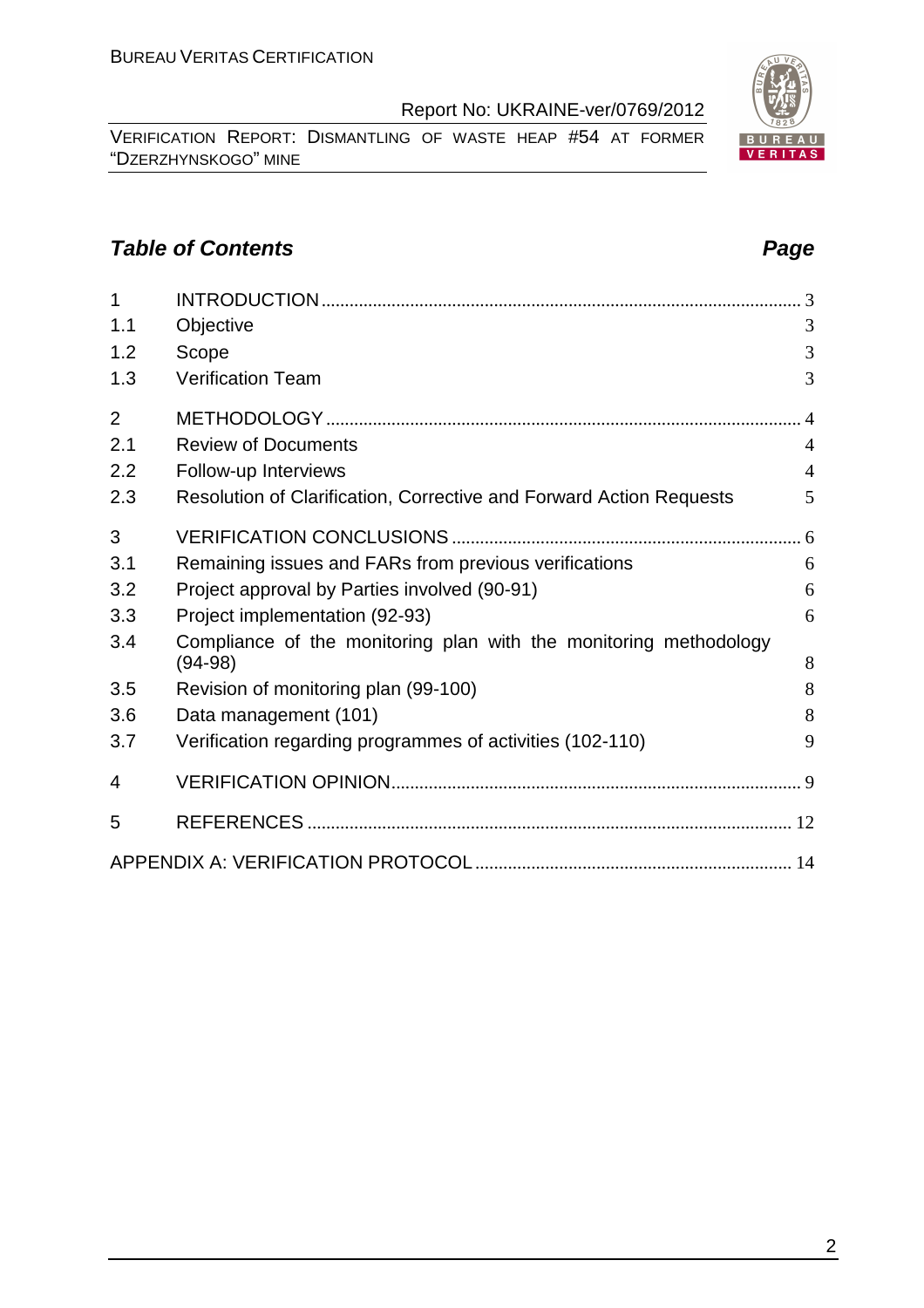VERIFICATION REPORT: DISMANTLING OF WASTE HEAP #54 AT FORMER "DZERZHYNSKOGO" MINE

#### **Table of Contents Page 2018**

| 1              |                                                                                |                |
|----------------|--------------------------------------------------------------------------------|----------------|
| 1.1            | Objective                                                                      | 3              |
| 1.2            | Scope                                                                          | 3              |
| 1.3            | <b>Verification Team</b>                                                       | 3              |
| $\overline{2}$ |                                                                                | $\overline{4}$ |
| 2.1            | <b>Review of Documents</b>                                                     | $\overline{4}$ |
| 2.2            | Follow-up Interviews                                                           | $\overline{4}$ |
| 2.3            | Resolution of Clarification, Corrective and Forward Action Requests            | 5              |
| 3              |                                                                                |                |
| 3.1            | Remaining issues and FARs from previous verifications                          | 6              |
| 3.2            | Project approval by Parties involved (90-91)                                   | 6              |
| 3.3            | Project implementation (92-93)                                                 | 6              |
| 3.4            | Compliance of the monitoring plan with the monitoring methodology<br>$(94-98)$ | 8              |
| 3.5            | Revision of monitoring plan (99-100)                                           | 8              |
| 3.6            | Data management (101)                                                          | 8              |
| 3.7            | Verification regarding programmes of activities (102-110)                      | 9              |
| 4              |                                                                                |                |
| 5              |                                                                                |                |
|                |                                                                                |                |

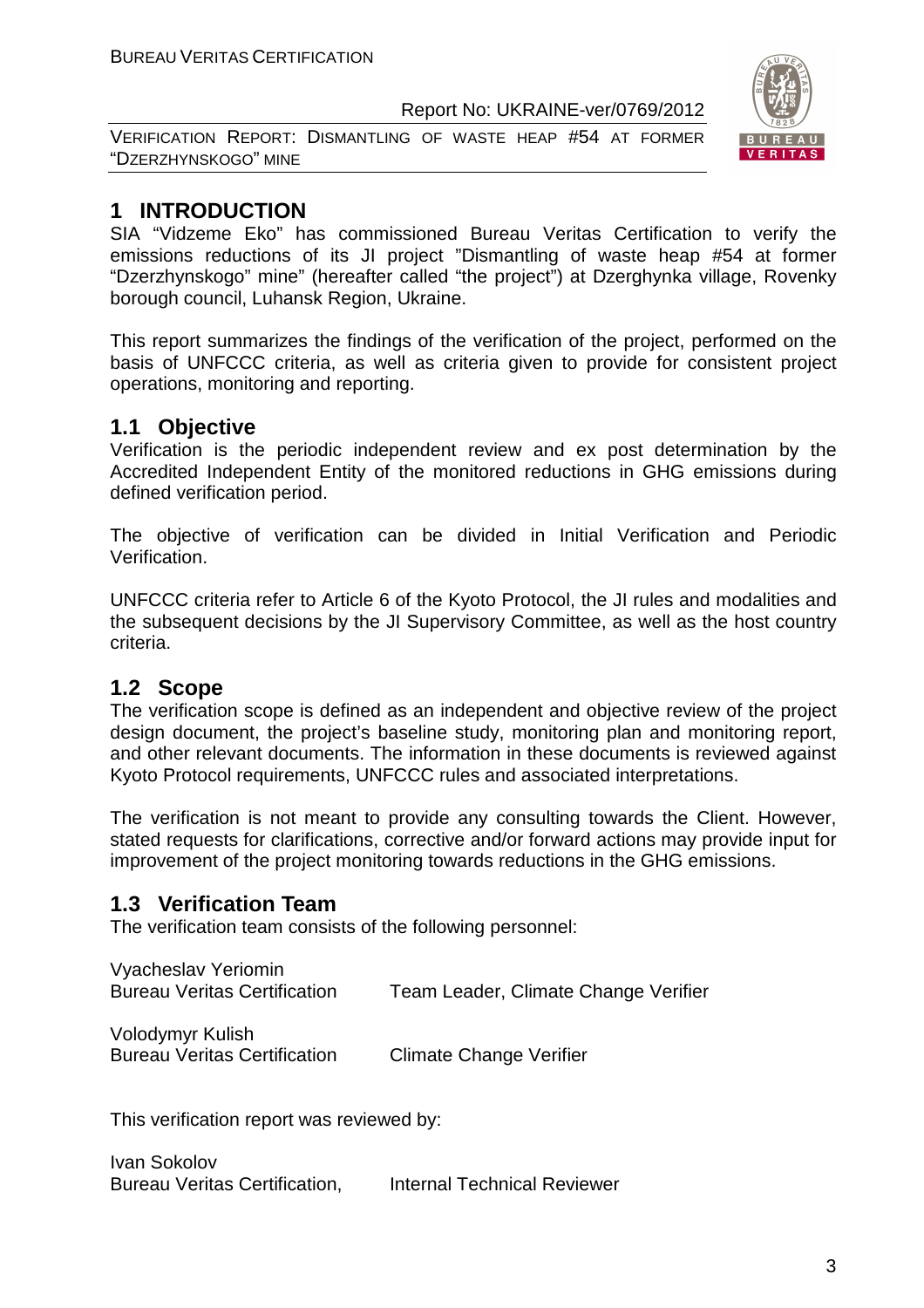VERIFICATION REPORT: DISMANTLING OF WASTE HEAP #54 AT FORMER "DZERZHYNSKOGO" MINE



#### **1 INTRODUCTION**

SIA "Vidzeme Eko" has commissioned Bureau Veritas Certification to verify the emissions reductions of its JI project "Dismantling of waste heap #54 at former "Dzerzhynskogo" mine" (hereafter called "the project") at Dzerghynka village, Rovenky borough council, Luhansk Region, Ukraine.

This report summarizes the findings of the verification of the project, performed on the basis of UNFCCC criteria, as well as criteria given to provide for consistent project operations, monitoring and reporting.

#### **1.1 Objective**

Verification is the periodic independent review and ex post determination by the Accredited Independent Entity of the monitored reductions in GHG emissions during defined verification period.

The objective of verification can be divided in Initial Verification and Periodic Verification.

UNFCCC criteria refer to Article 6 of the Kyoto Protocol, the JI rules and modalities and the subsequent decisions by the JI Supervisory Committee, as well as the host country criteria.

#### **1.2 Scope**

The verification scope is defined as an independent and objective review of the project design document, the project's baseline study, monitoring plan and monitoring report, and other relevant documents. The information in these documents is reviewed against Kyoto Protocol requirements, UNFCCC rules and associated interpretations.

The verification is not meant to provide any consulting towards the Client. However, stated requests for clarifications, corrective and/or forward actions may provide input for improvement of the project monitoring towards reductions in the GHG emissions.

#### **1.3 Verification Team**

The verification team consists of the following personnel:

| Vyacheslav Yeriomin                 |                                      |
|-------------------------------------|--------------------------------------|
| <b>Bureau Veritas Certification</b> | Team Leader, Climate Change Verifier |

Volodymyr Kulish Bureau Veritas Certification Climate Change Verifier

This verification report was reviewed by:

Ivan Sokolov Bureau Veritas Certification, Internal Technical Reviewer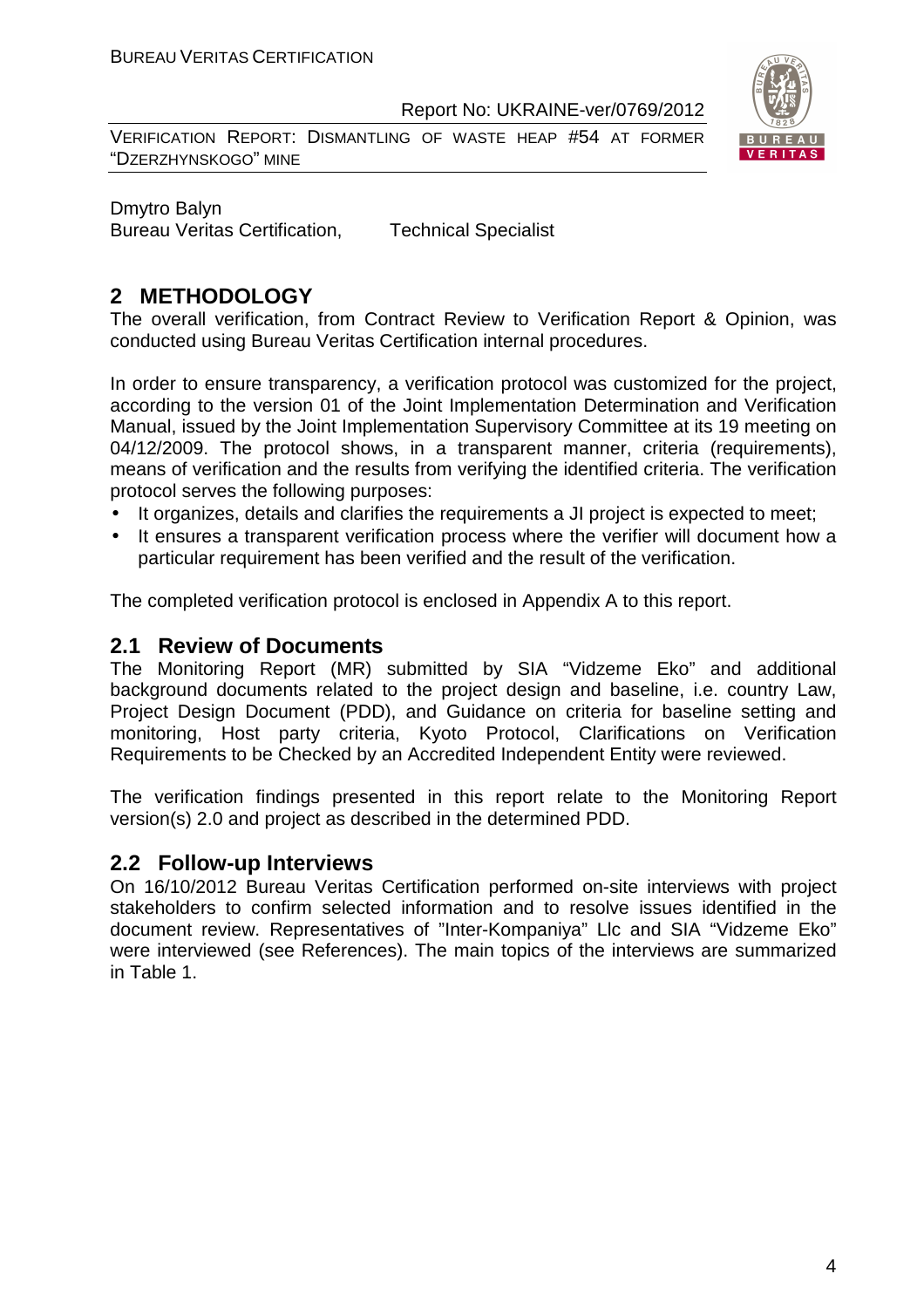VERIFICATION REPORT: DISMANTLING OF WASTE HEAP #54 AT FORMER "DZERZHYNSKOGO" MINE



Dmytro Balyn Bureau Veritas Certification, Technical Specialist

#### **2 METHODOLOGY**

The overall verification, from Contract Review to Verification Report & Opinion, was conducted using Bureau Veritas Certification internal procedures.

In order to ensure transparency, a verification protocol was customized for the project, according to the version 01 of the Joint Implementation Determination and Verification Manual, issued by the Joint Implementation Supervisory Committee at its 19 meeting on 04/12/2009. The protocol shows, in a transparent manner, criteria (requirements), means of verification and the results from verifying the identified criteria. The verification protocol serves the following purposes:

- It organizes, details and clarifies the requirements a JI project is expected to meet;
- It ensures a transparent verification process where the verifier will document how a particular requirement has been verified and the result of the verification.

The completed verification protocol is enclosed in Appendix A to this report.

#### **2.1 Review of Documents**

The Monitoring Report (MR) submitted by SIA "Vidzeme Eko" and additional background documents related to the project design and baseline, i.e. country Law, Project Design Document (PDD), and Guidance on criteria for baseline setting and monitoring, Host party criteria, Kyoto Protocol, Clarifications on Verification Requirements to be Checked by an Accredited Independent Entity were reviewed.

The verification findings presented in this report relate to the Monitoring Report version(s) 2.0 and project as described in the determined PDD.

#### **2.2 Follow-up Interviews**

On 16/10/2012 Bureau Veritas Certification performed on-site interviews with project stakeholders to confirm selected information and to resolve issues identified in the document review. Representatives of "Inter-Kompaniya" Llc and SIA "Vidzeme Eko" were interviewed (see References). The main topics of the interviews are summarized in Table 1.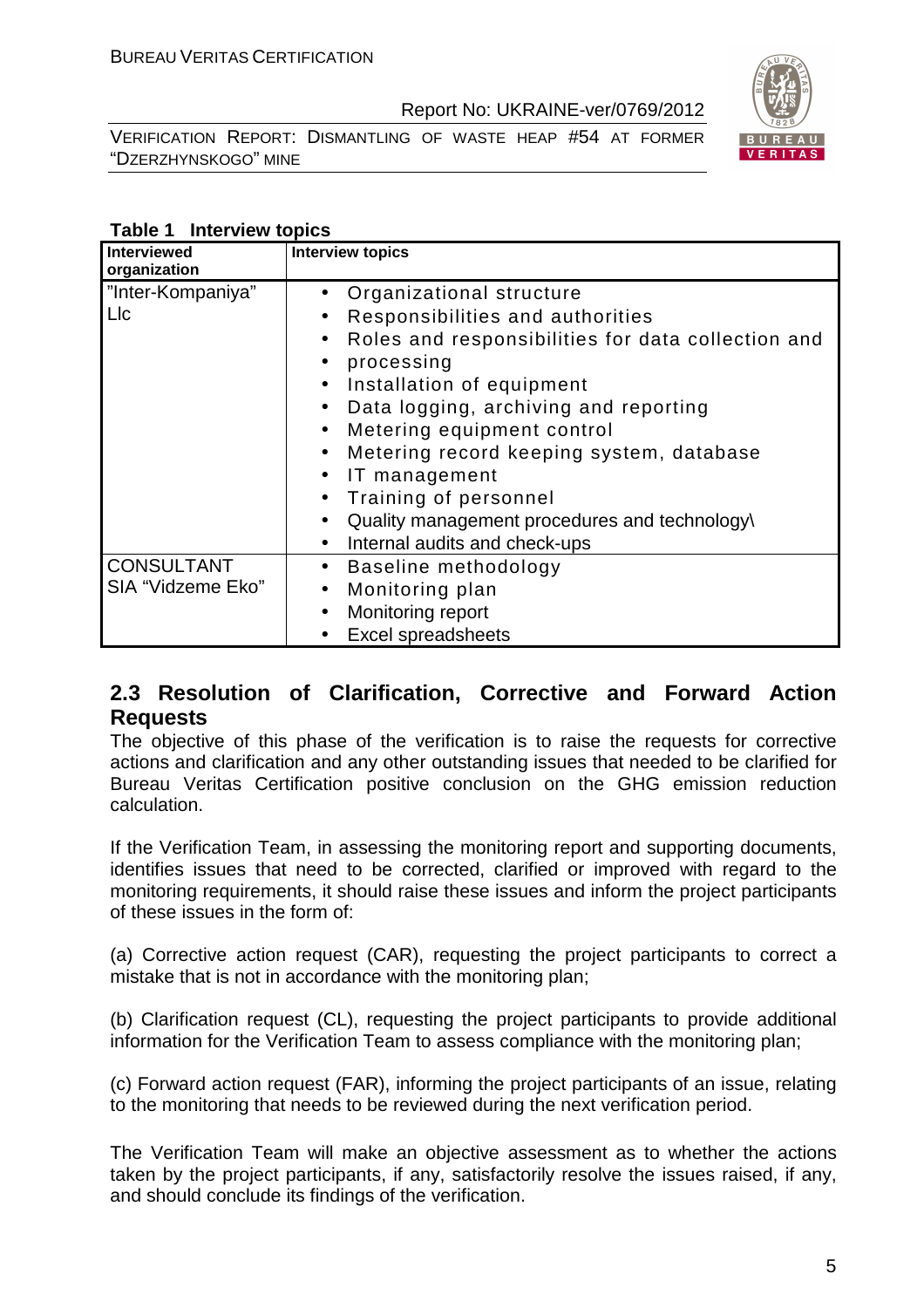VERIFICATION REPORT: DISMANTLING OF WASTE HEAP #54 AT FORMER "DZERZHYNSKOGO" MINE



#### **Table 1 Interview topics**

| Interviewed<br>organization            | <b>Interview topics</b>                                                                                                                                                                                                                                                                                                                                                                                                                                                                                                                        |
|----------------------------------------|------------------------------------------------------------------------------------------------------------------------------------------------------------------------------------------------------------------------------------------------------------------------------------------------------------------------------------------------------------------------------------------------------------------------------------------------------------------------------------------------------------------------------------------------|
| "Inter-Kompaniya"<br>LIc               | Organizational structure<br>Responsibilities and authorities<br>$\bullet$<br>Roles and responsibilities for data collection and<br>$\bullet$<br>processing<br>$\bullet$<br>Installation of equipment<br>$\bullet$<br>Data logging, archiving and reporting<br>$\bullet$<br>Metering equipment control<br>$\bullet$<br>Metering record keeping system, database<br>$\bullet$<br>IT management<br>Training of personnel<br>$\bullet$<br>Quality management procedures and technology\<br>$\bullet$<br>Internal audits and check-ups<br>$\bullet$ |
| <b>CONSULTANT</b><br>SIA "Vidzeme Eko" | Baseline methodology<br>$\bullet$<br>Monitoring plan<br>$\bullet$<br>Monitoring report<br>$\bullet$<br><b>Excel spreadsheets</b>                                                                                                                                                                                                                                                                                                                                                                                                               |

#### **2.3 Resolution of Clarification, Corrective and Forward Action Requests**

The objective of this phase of the verification is to raise the requests for corrective actions and clarification and any other outstanding issues that needed to be clarified for Bureau Veritas Certification positive conclusion on the GHG emission reduction calculation.

If the Verification Team, in assessing the monitoring report and supporting documents, identifies issues that need to be corrected, clarified or improved with regard to the monitoring requirements, it should raise these issues and inform the project participants of these issues in the form of:

(a) Corrective action request (CAR), requesting the project participants to correct a mistake that is not in accordance with the monitoring plan;

(b) Clarification request (CL), requesting the project participants to provide additional information for the Verification Team to assess compliance with the monitoring plan;

(c) Forward action request (FAR), informing the project participants of an issue, relating to the monitoring that needs to be reviewed during the next verification period.

The Verification Team will make an objective assessment as to whether the actions taken by the project participants, if any, satisfactorily resolve the issues raised, if any, and should conclude its findings of the verification.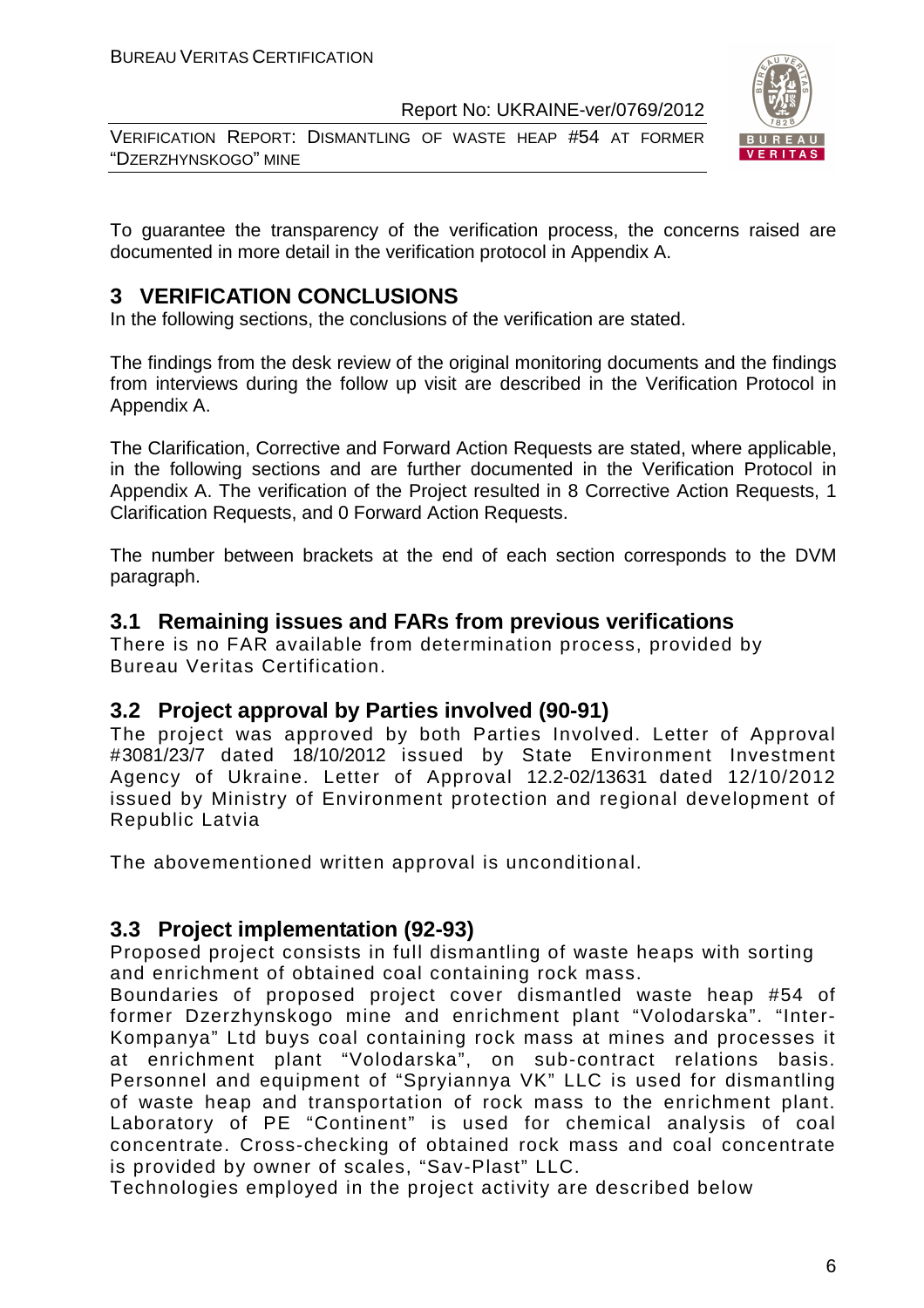VERIFICATION REPORT: DISMANTLING OF WASTE HEAP #54 AT FORMER "DZERZHYNSKOGO" MINE



To guarantee the transparency of the verification process, the concerns raised are documented in more detail in the verification protocol in Appendix A.

#### **3 VERIFICATION CONCLUSIONS**

In the following sections, the conclusions of the verification are stated.

The findings from the desk review of the original monitoring documents and the findings from interviews during the follow up visit are described in the Verification Protocol in Appendix A.

The Clarification, Corrective and Forward Action Requests are stated, where applicable, in the following sections and are further documented in the Verification Protocol in Appendix A. The verification of the Project resulted in 8 Corrective Action Requests, 1 Clarification Requests, and 0 Forward Action Requests.

The number between brackets at the end of each section corresponds to the DVM paragraph.

#### **3.1 Remaining issues and FARs from previous verifications**

There is no FAR available from determination process, provided by Bureau Veritas Certification.

#### **3.2 Project approval by Parties involved (90-91)**

The project was approved by both Parties Involved. Letter of Approval #3081/23/7 dated 18/10/2012 issued by State Environment Investment Agency of Ukraine. Letter of Approval 12.2-02/13631 dated 12/10/2012 issued by Ministry of Environment protection and regional development of Republic Latvia

The abovementioned written approval is unconditional.

#### **3.3 Project implementation (92-93)**

Proposed project consists in full dismantling of waste heaps with sorting and enrichment of obtained coal containing rock mass.

Boundaries of proposed project cover dismantled waste heap #54 of former Dzerzhynskogo mine and enrichment plant "Volodarska". "Inter-Kompanya" Ltd buys coal containing rock mass at mines and processes it at enrichment plant "Volodarska", on sub-contract relations basis. Personnel and equipment of "Spryiannya VK" LLC is used for dismantling of waste heap and transportation of rock mass to the enrichment plant. Laboratory of PE "Continent" is used for chemical analysis of coal concentrate. Cross-checking of obtained rock mass and coal concentrate is provided by owner of scales, "Sav-Plast" LLC.

Technologies employed in the project activity are described below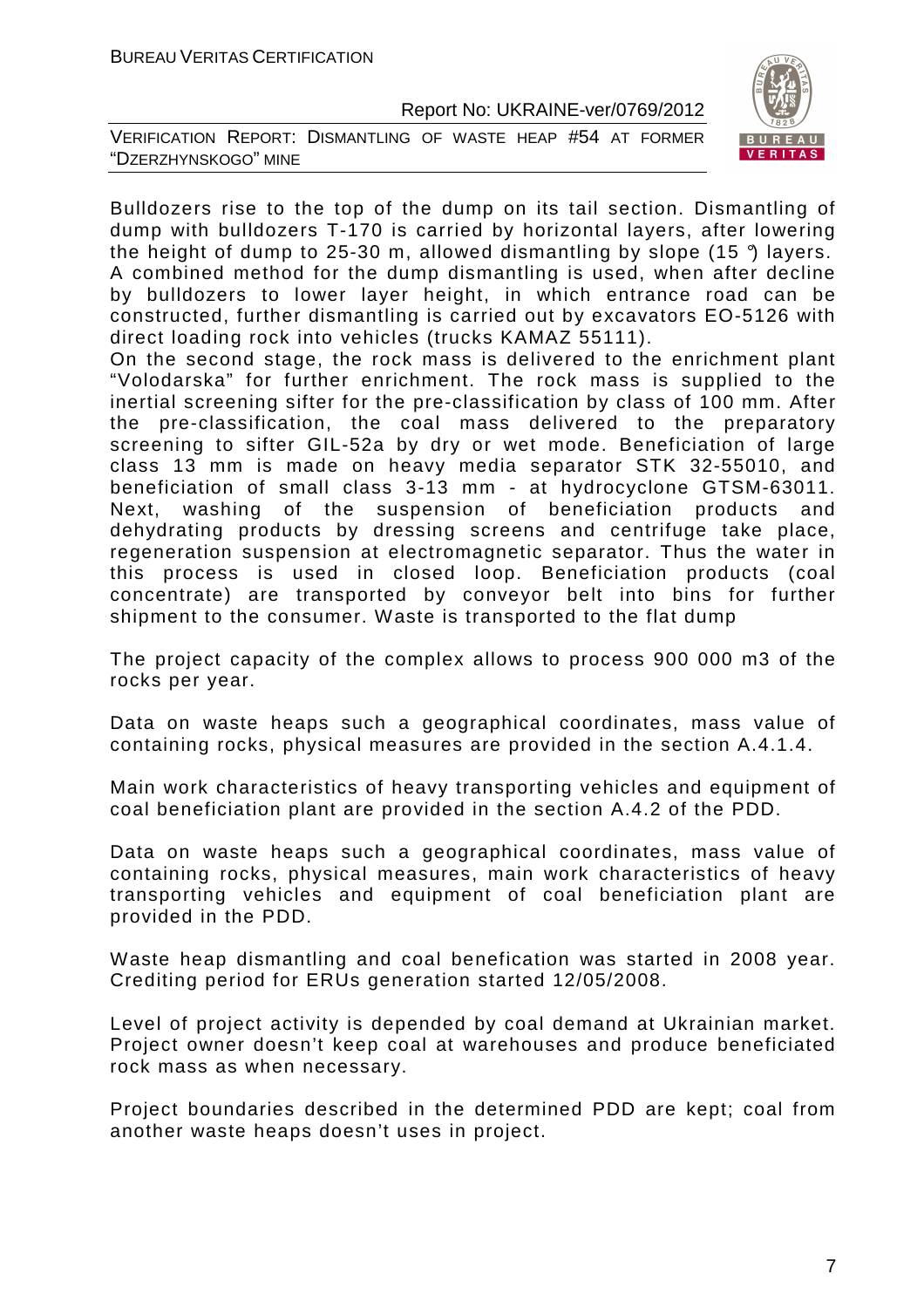



Bulldozers rise to the top of the dump on its tail section. Dismantling of dump with bulldozers T-170 is carried by horizontal layers, after lowering the height of dump to 25-30 m, allowed dismantling by slope  $(15 \text{ }^{\circ})$  layers. A combined method for the dump dismantling is used, when after decline by bulldozers to lower layer height, in which entrance road can be constructed, further dismantling is carried out by excavators EO-5126 with direct loading rock into vehicles (trucks KAMAZ 55111).

On the second stage, the rock mass is delivered to the enrichment plant "Volodarska" for further enrichment. The rock mass is supplied to the inertial screening sifter for the pre-classification by class of 100 mm. After the pre-classification, the coal mass delivered to the preparatory screening to sifter GIL-52a by dry or wet mode. Beneficiation of large class 13 mm is made on heavy media separator STK 32-55010, and beneficiation of small class 3-13 mm - at hydrocyclone GTSM-63011. Next, washing of the suspension of beneficiation products and dehydrating products by dressing screens and centrifuge take place, regeneration suspension at electromagnetic separator. Thus the water in this process is used in closed loop. Beneficiation products (coal concentrate) are transported by conveyor belt into bins for further shipment to the consumer. Waste is transported to the flat dump

The project capacity of the complex allows to process 900 000 m3 of the rocks per year.

Data on waste heaps such a geographical coordinates, mass value of containing rocks, physical measures are provided in the section A.4.1.4.

Main work characteristics of heavy transporting vehicles and equipment of coal beneficiation plant are provided in the section A.4.2 of the PDD.

Data on waste heaps such a geographical coordinates, mass value of containing rocks, physical measures, main work characteristics of heavy transporting vehicles and equipment of coal beneficiation plant are provided in the PDD.

Waste heap dismantling and coal benefication was started in 2008 year. Crediting period for ERUs generation started 12/05/2008.

Level of project activity is depended by coal demand at Ukrainian market. Project owner doesn't keep coal at warehouses and produce beneficiated rock mass as when necessary.

Project boundaries described in the determined PDD are kept; coal from another waste heaps doesn't uses in project.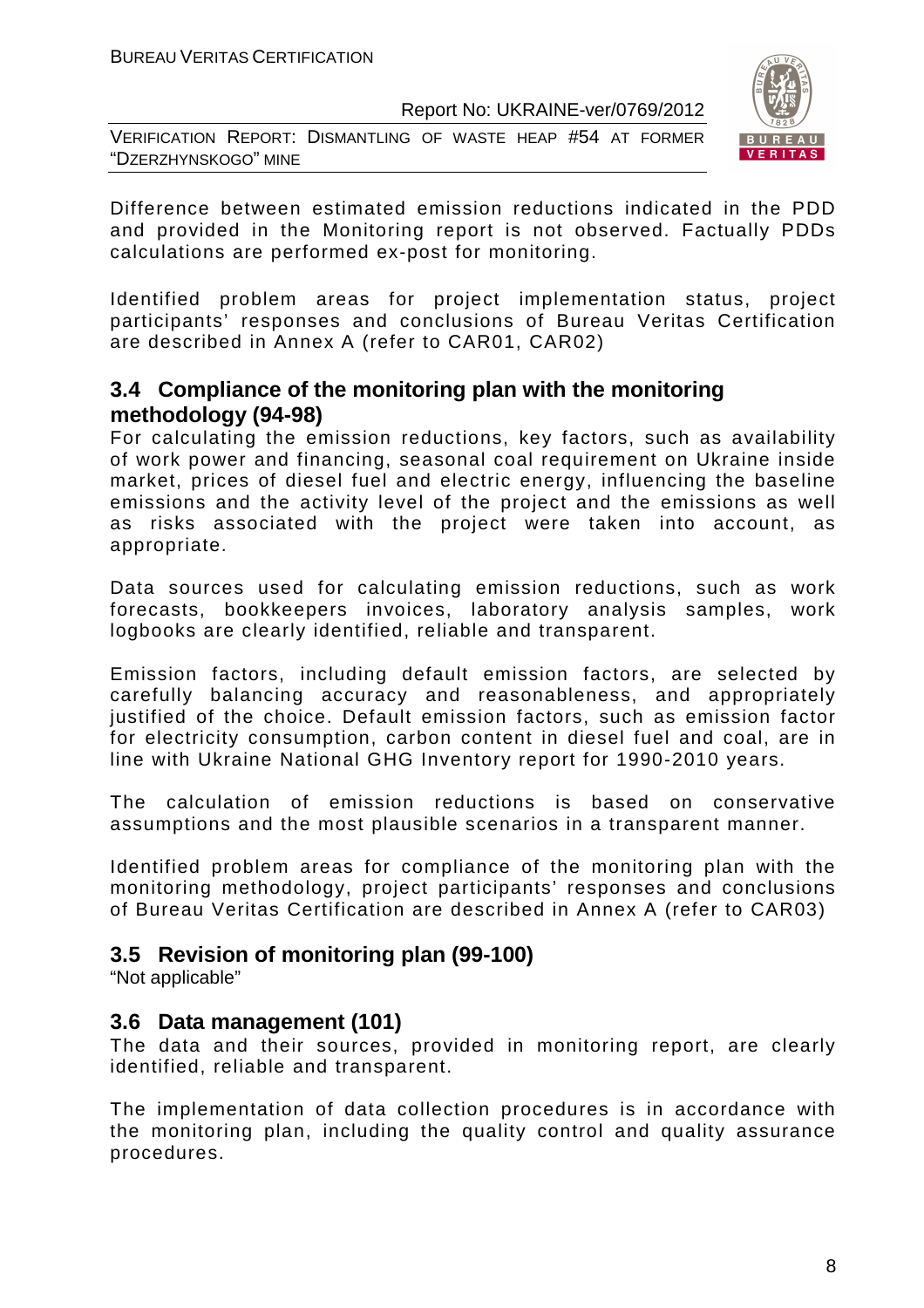VERIFICATION REPORT: DISMANTLING OF WASTE HEAP #54 AT FORMER "DZERZHYNSKOGO" MINE



Difference between estimated emission reductions indicated in the PDD and provided in the Monitoring report is not observed. Factually PDDs calculations are performed ex-post for monitoring.

Identified problem areas for project implementation status, project participants' responses and conclusions of Bureau Veritas Certification are described in Annex A (refer to CAR01, CAR02)

#### **3.4 Compliance of the monitoring plan with the monitoring methodology (94-98)**

For calculating the emission reductions, key factors, such as availability of work power and financing, seasonal coal requirement on Ukraine inside market, prices of diesel fuel and electric energy, influencing the baseline emissions and the activity level of the project and the emissions as well as risks associated with the project were taken into account, as appropriate.

Data sources used for calculating emission reductions, such as work forecasts, bookkeepers invoices, laboratory analysis samples, work logbooks are clearly identified, reliable and transparent.

Emission factors, including default emission factors, are selected by carefully balancing accuracy and reasonableness, and appropriately justified of the choice. Default emission factors, such as emission factor for electricity consumption, carbon content in diesel fuel and coal, are in line with Ukraine National GHG Inventory report for 1990-2010 years.

The calculation of emission reductions is based on conservative assumptions and the most plausible scenarios in a transparent manner.

Identified problem areas for compliance of the monitoring plan with the monitoring methodology, project participants' responses and conclusions of Bureau Veritas Certification are described in Annex A (refer to CAR03)

#### **3.5 Revision of monitoring plan (99-100)**

"Not applicable"

#### **3.6 Data management (101)**

The data and their sources, provided in monitoring report, are clearly identified, reliable and transparent.

The implementation of data collection procedures is in accordance with the monitoring plan, including the quality control and quality assurance procedures.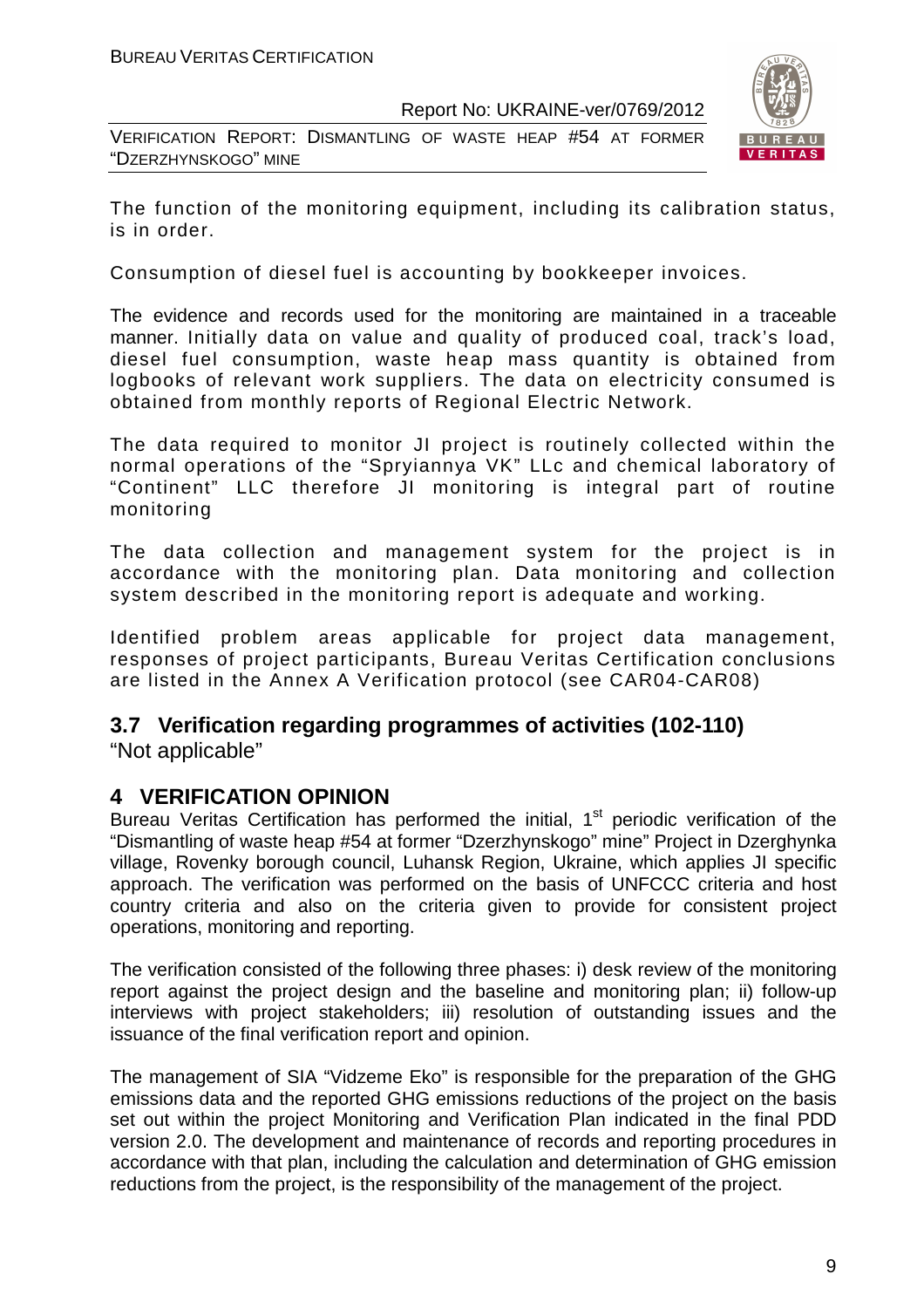VERIFICATION REPORT: DISMANTLING OF WASTE HEAP #54 AT FORMER "DZERZHYNSKOGO" MINE



The function of the monitoring equipment, including its calibration status, is in order.

Consumption of diesel fuel is accounting by bookkeeper invoices.

The evidence and records used for the monitoring are maintained in a traceable manner. Initially data on value and quality of produced coal, track's load, diesel fuel consumption, waste heap mass quantity is obtained from logbooks of relevant work suppliers. The data on electricity consumed is obtained from monthly reports of Regional Electric Network.

The data required to monitor JI project is routinely collected within the normal operations of the "Spryiannya VK" LLc and chemical laboratory of "Continent" LLC therefore JI monitoring is integral part of routine monitoring

The data collection and management system for the project is in accordance with the monitoring plan. Data monitoring and collection system described in the monitoring report is adequate and working.

Identified problem areas applicable for project data management, responses of project participants, Bureau Veritas Certification conclusions are listed in the Annex A Verification protocol (see CAR04-CAR08)

#### **3.7 Verification regarding programmes of activities (102-110)**

"Not applicable"

#### **4 VERIFICATION OPINION**

Bureau Veritas Certification has performed the initial,  $1<sup>st</sup>$  periodic verification of the "Dismantling of waste heap #54 at former "Dzerzhynskogo" mine" Project in Dzerghynka village, Rovenky borough council, Luhansk Region, Ukraine, which applies JI specific approach. The verification was performed on the basis of UNFCCC criteria and host country criteria and also on the criteria given to provide for consistent project operations, monitoring and reporting.

The verification consisted of the following three phases: i) desk review of the monitoring report against the project design and the baseline and monitoring plan; ii) follow-up interviews with project stakeholders; iii) resolution of outstanding issues and the issuance of the final verification report and opinion.

The management of SIA "Vidzeme Eko" is responsible for the preparation of the GHG emissions data and the reported GHG emissions reductions of the project on the basis set out within the project Monitoring and Verification Plan indicated in the final PDD version 2.0. The development and maintenance of records and reporting procedures in accordance with that plan, including the calculation and determination of GHG emission reductions from the project, is the responsibility of the management of the project.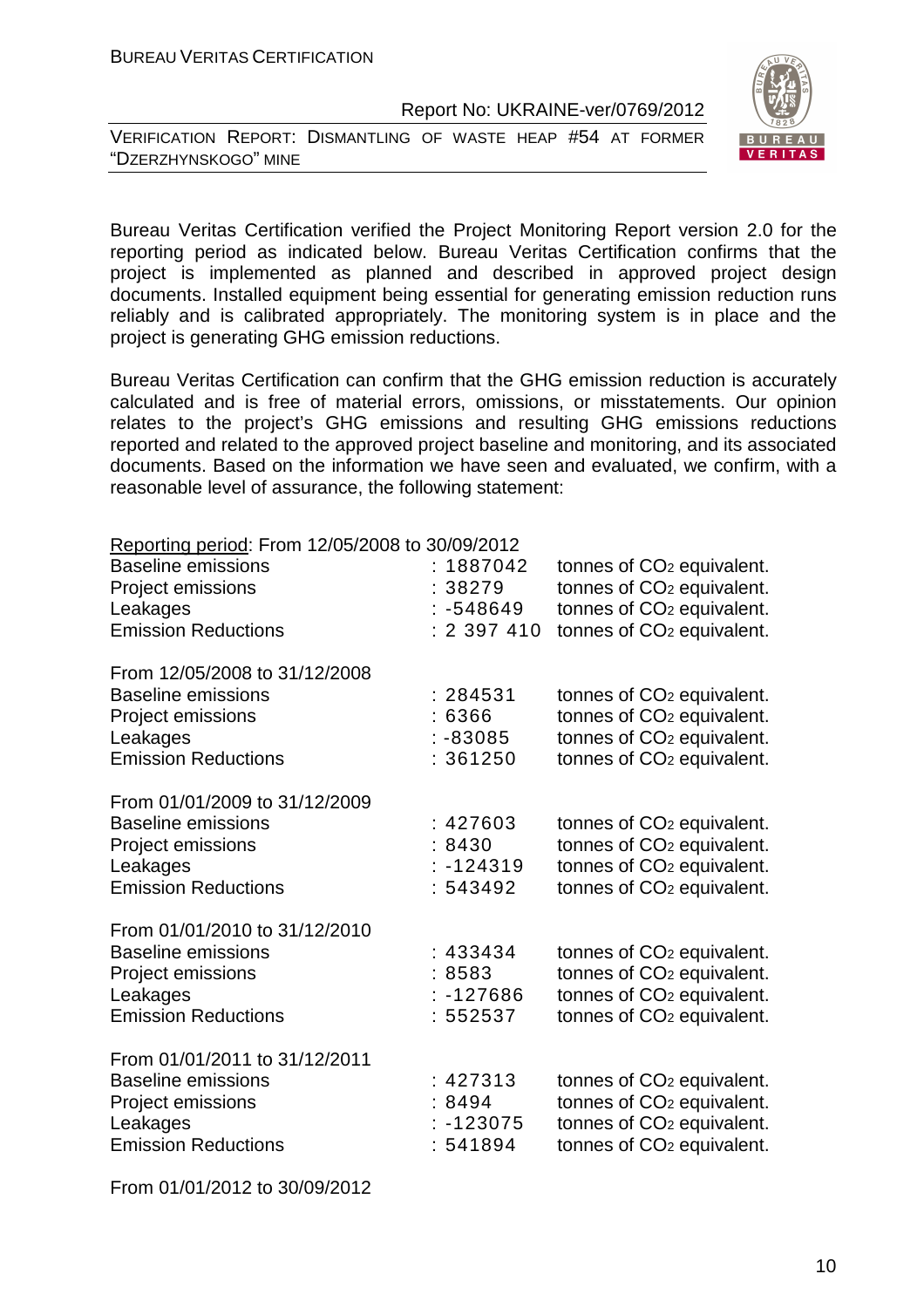VERIFICATION REPORT: DISMANTLING OF WASTE HEAP #54 AT FORMER "DZERZHYNSKOGO" MINE



Bureau Veritas Certification verified the Project Monitoring Report version 2.0 for the reporting period as indicated below. Bureau Veritas Certification confirms that the project is implemented as planned and described in approved project design documents. Installed equipment being essential for generating emission reduction runs reliably and is calibrated appropriately. The monitoring system is in place and the project is generating GHG emission reductions.

Bureau Veritas Certification can confirm that the GHG emission reduction is accurately calculated and is free of material errors, omissions, or misstatements. Our opinion relates to the project's GHG emissions and resulting GHG emissions reductions reported and related to the approved project baseline and monitoring, and its associated documents. Based on the information we have seen and evaluated, we confirm, with a reasonable level of assurance, the following statement:

| Reporting period: From 12/05/2008 to 30/09/2012<br><b>Baseline emissions</b><br>Project emissions<br>Leakages<br><b>Emission Reductions</b> | : 1887042<br>: 38279<br>$: -548649$<br>: 2397410 | tonnes of CO <sub>2</sub> equivalent.<br>tonnes of CO <sub>2</sub> equivalent.<br>tonnes of CO <sub>2</sub> equivalent.<br>tonnes of CO <sub>2</sub> equivalent. |
|---------------------------------------------------------------------------------------------------------------------------------------------|--------------------------------------------------|------------------------------------------------------------------------------------------------------------------------------------------------------------------|
| From 12/05/2008 to 31/12/2008<br><b>Baseline emissions</b><br>Project emissions<br>Leakages<br><b>Emission Reductions</b>                   | : 284531<br>:6366<br>$: -83085$<br>: 361250      | tonnes of CO <sub>2</sub> equivalent.<br>tonnes of CO <sub>2</sub> equivalent.<br>tonnes of CO <sub>2</sub> equivalent.<br>tonnes of CO <sub>2</sub> equivalent. |
| From 01/01/2009 to 31/12/2009<br><b>Baseline emissions</b><br>Project emissions<br>Leakages<br><b>Emission Reductions</b>                   | :427603<br>:8430<br>$: -124319$<br>: 543492      | tonnes of CO <sub>2</sub> equivalent.<br>tonnes of CO <sub>2</sub> equivalent.<br>tonnes of CO <sub>2</sub> equivalent.<br>tonnes of CO <sub>2</sub> equivalent. |
| From 01/01/2010 to 31/12/2010<br><b>Baseline emissions</b><br>Project emissions<br>Leakages<br><b>Emission Reductions</b>                   | : 433434<br>:8583<br>$: -127686$<br>552537       | tonnes of CO <sub>2</sub> equivalent.<br>tonnes of CO <sub>2</sub> equivalent.<br>tonnes of CO <sub>2</sub> equivalent.<br>tonnes of CO <sub>2</sub> equivalent. |
| From 01/01/2011 to 31/12/2011<br><b>Baseline emissions</b><br>Project emissions<br>Leakages<br><b>Emission Reductions</b>                   | :427313<br>:8494<br>$: -123075$<br>: 541894      | tonnes of CO <sub>2</sub> equivalent.<br>tonnes of CO <sub>2</sub> equivalent.<br>tonnes of CO <sub>2</sub> equivalent.<br>tonnes of CO <sub>2</sub> equivalent. |

From 01/01/2012 to 30/09/2012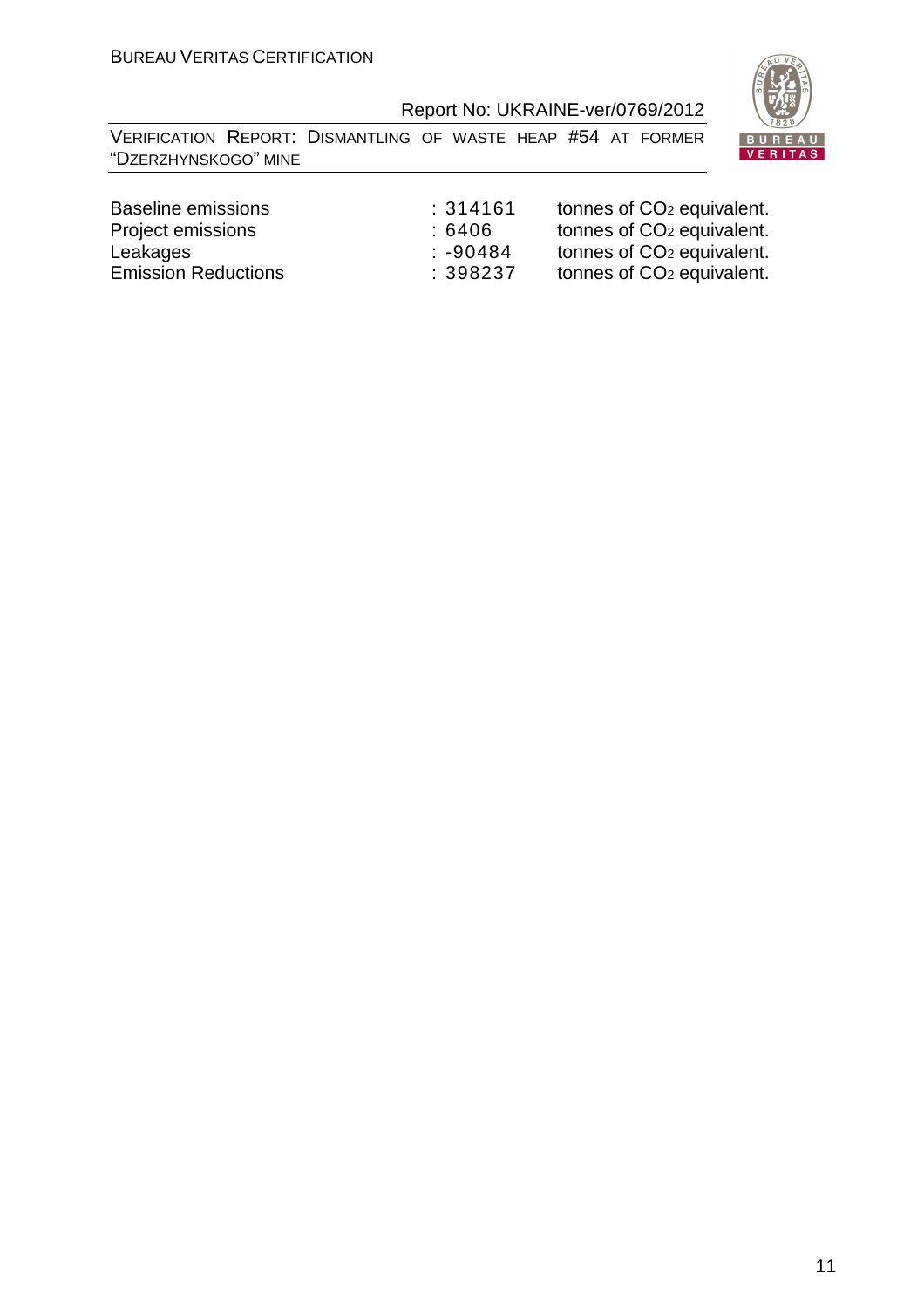VERIFICATION REPORT: DISMANTLING OF WASTE HEAP #54 AT FORMER "DZERZHYNSKOGO" MINE



| Baseline emissions         | :314161 | tonnes of CO <sub>2</sub> equivalent. |
|----------------------------|---------|---------------------------------------|
| Project emissions          | : 6406  | tonnes of CO <sub>2</sub> equivalent. |
| Leakages                   | :-90484 | tonnes of CO <sub>2</sub> equivalent. |
| <b>Emission Reductions</b> | :398237 | tonnes of CO <sub>2</sub> equivalent. |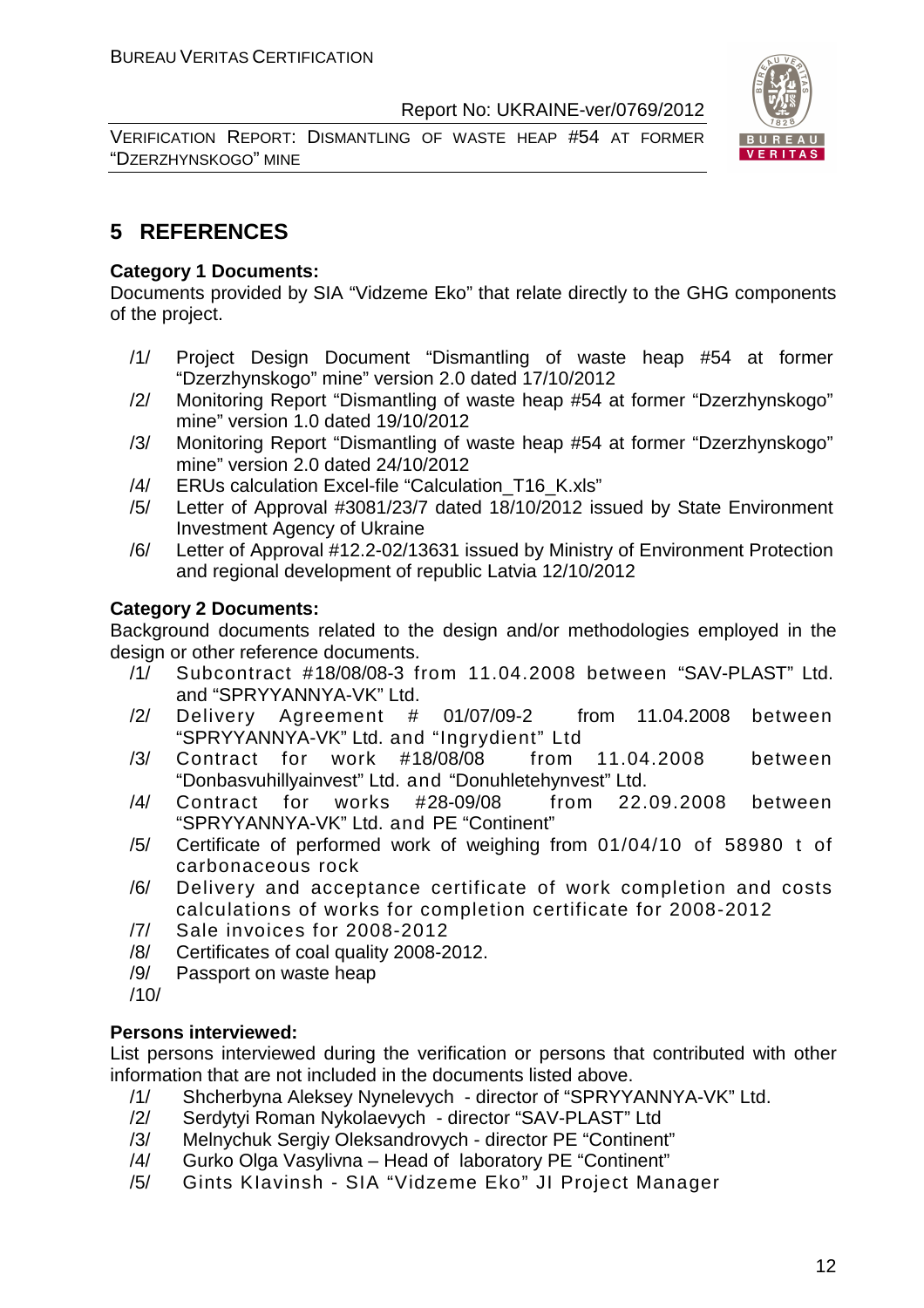VERIFICATION REPORT: DISMANTLING OF WASTE HEAP #54 AT FORMER "DZERZHYNSKOGO" MINE



#### **5 REFERENCES**

#### **Category 1 Documents:**

Documents provided by SIA "Vidzeme Eko" that relate directly to the GHG components of the project.

- /1/ Project Design Document "Dismantling of waste heap #54 at former "Dzerzhynskogo" mine" version 2.0 dated 17/10/2012
- /2/ Monitoring Report "Dismantling of waste heap #54 at former "Dzerzhynskogo" mine" version 1.0 dated 19/10/2012
- /3/ Monitoring Report "Dismantling of waste heap #54 at former "Dzerzhynskogo" mine" version 2.0 dated 24/10/2012
- /4/ ERUs calculation Excel-file "Calculation T16 K.xls"
- /5/ Letter of Approval #3081/23/7 dated 18/10/2012 issued by State Environment Investment Agency of Ukraine
- /6/ Letter of Approval #12.2-02/13631 issued by Ministry of Environment Protection and regional development of republic Latvia 12/10/2012

#### **Category 2 Documents:**

Background documents related to the design and/or methodologies employed in the design or other reference documents.

- /1/ Subcontract #18/08/08-3 from 11.04.2008 between "SAV-PLAST" Ltd. and "SPRYYANNYA-VK" Ltd.
- /2/ Delivery Agreement # 01/07/09-2 from 11.04.2008 between "SPRYYANNYA-VK" Ltd. and "Ingrydient" Ltd
- /3/ Contract for work #18/08/08 from 11.04.2008 between "Donbasvuhillyainvest" Ltd. and "Donuhletehynvest" Ltd.
- /4/ Contract for works #28-09/08 from 22.09.2008 between "SPRYYANNYA-VK" Ltd. and PE "Continent"
- /5/ Certificate of performed work of weighing from 01/04/10 of 58980 t of carbonaceous rock
- /6/ Delivery and acceptance certificate of work completion and costs calculations of works for completion certificate for 2008-2012
- /7/ Sale invoices for 2008-2012
- /8/ Certificates of coal quality 2008-2012.
- /9/ Passport on waste heap
- /10/

#### **Persons interviewed:**

List persons interviewed during the verification or persons that contributed with other information that are not included in the documents listed above.

- /1/ Shcherbyna Aleksey Nynelevych director of "SPRYYANNYA-VK" Ltd.
- /2/ Serdytyi Roman Nykolaevych director "SAV-PLAST" Ltd
- /3/ Melnychuk Sergiy Oleksandrovych director PE "Continent"
- /4/ Gurko Olga Vasylivna Head of laboratory PE "Continent"
- /5/ Gints KIavinsh SIA "Vidzeme Eko" JI Project Manager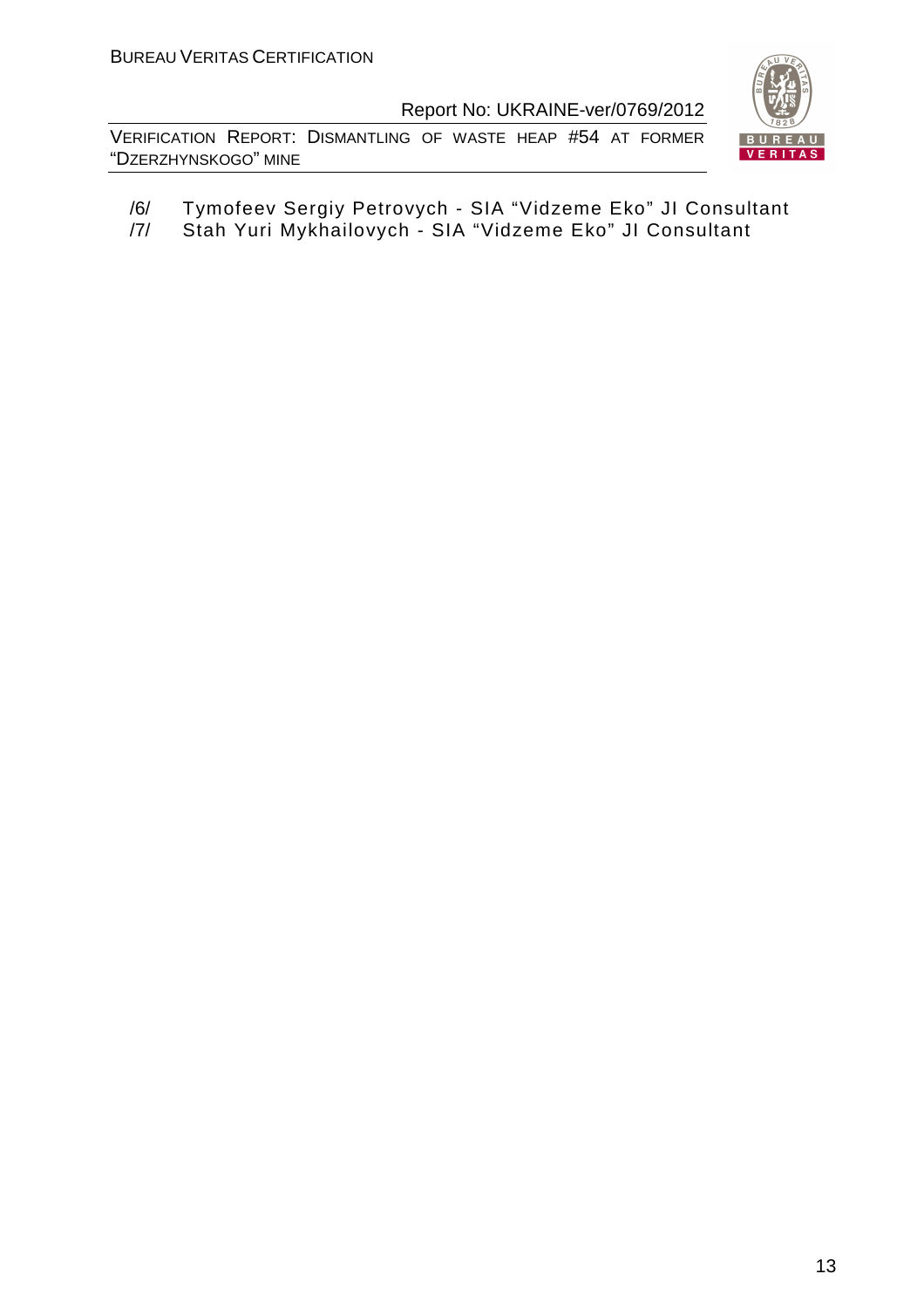VERIFICATION REPORT: DISMANTLING OF WASTE HEAP #54 AT FORMER "DZERZHYNSKOGO" MINE



/6/ Tymofeev Sergiy Petrovych - SIA "Vidzeme Eko" JI Consultant /7/ Stah Yuri Mykhailovych - SIA "Vidzeme Eko" JI Consultant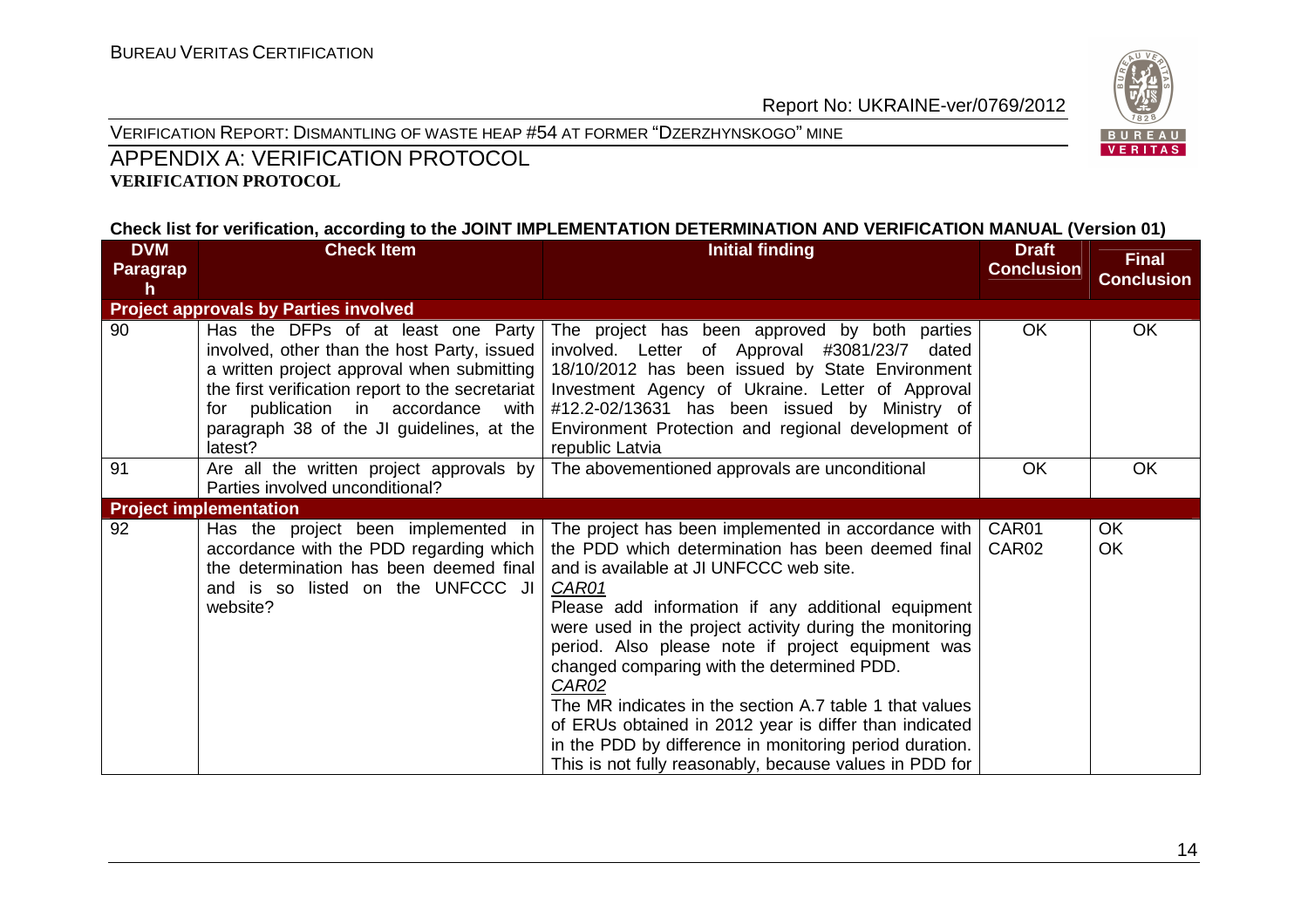

VERIFICATION REPORT: DISMANTLING OF WASTE HEAP #54 AT FORMER "DZERZHYNSKOGO" MINE

#### APPENDIX A: VERIFICATION PROTOCOL **VERIFICATION PROTOCOL**

#### **Check list for verification, according to the JOINT IMPLEMENTATION DETERMINATION AND VERIFICATION MANUAL (Version 01)**

| <b>DVM</b>      | <b>Check Item</b>                                                                                                                                                                                                                                                                    | <b>Initial finding</b>                                                                                                                                                                                                                                                                                                                                                                                                                                                                                                                                                                                                               | <b>Draft</b>               | <b>Final</b>           |
|-----------------|--------------------------------------------------------------------------------------------------------------------------------------------------------------------------------------------------------------------------------------------------------------------------------------|--------------------------------------------------------------------------------------------------------------------------------------------------------------------------------------------------------------------------------------------------------------------------------------------------------------------------------------------------------------------------------------------------------------------------------------------------------------------------------------------------------------------------------------------------------------------------------------------------------------------------------------|----------------------------|------------------------|
| <b>Paragrap</b> |                                                                                                                                                                                                                                                                                      |                                                                                                                                                                                                                                                                                                                                                                                                                                                                                                                                                                                                                                      | <b>Conclusion</b>          | <b>Conclusion</b>      |
| h               |                                                                                                                                                                                                                                                                                      |                                                                                                                                                                                                                                                                                                                                                                                                                                                                                                                                                                                                                                      |                            |                        |
|                 | <b>Project approvals by Parties involved</b>                                                                                                                                                                                                                                         |                                                                                                                                                                                                                                                                                                                                                                                                                                                                                                                                                                                                                                      |                            |                        |
| 90              | Has the DFPs of at least one Party<br>involved, other than the host Party, issued<br>a written project approval when submitting<br>the first verification report to the secretariat<br>for publication in accordance<br>with<br>paragraph 38 of the JI guidelines, at the<br>latest? | The project has been approved by both parties<br>involved. Letter of Approval #3081/23/7<br>dated<br>18/10/2012 has been issued by State Environment<br>Investment Agency of Ukraine. Letter of Approval<br>#12.2-02/13631 has been issued by Ministry of<br>Environment Protection and regional development of<br>republic Latvia                                                                                                                                                                                                                                                                                                   | <b>OK</b>                  | <b>OK</b>              |
| 91              | Are all the written project approvals by                                                                                                                                                                                                                                             | The abovementioned approvals are unconditional                                                                                                                                                                                                                                                                                                                                                                                                                                                                                                                                                                                       | <b>OK</b>                  | <b>OK</b>              |
|                 | Parties involved unconditional?                                                                                                                                                                                                                                                      |                                                                                                                                                                                                                                                                                                                                                                                                                                                                                                                                                                                                                                      |                            |                        |
|                 | <b>Project implementation</b>                                                                                                                                                                                                                                                        |                                                                                                                                                                                                                                                                                                                                                                                                                                                                                                                                                                                                                                      |                            |                        |
| 92              | Has the project been implemented in<br>accordance with the PDD regarding which<br>the determination has been deemed final<br>and is so listed on the UNFCCC JI<br>website?                                                                                                           | The project has been implemented in accordance with<br>the PDD which determination has been deemed final<br>and is available at JI UNFCCC web site.<br>CAR01<br>Please add information if any additional equipment<br>were used in the project activity during the monitoring<br>period. Also please note if project equipment was<br>changed comparing with the determined PDD.<br>CAR02<br>The MR indicates in the section A.7 table 1 that values<br>of ERUs obtained in 2012 year is differ than indicated<br>in the PDD by difference in monitoring period duration.<br>This is not fully reasonably, because values in PDD for | CAR01<br>CAR <sub>02</sub> | <b>OK</b><br><b>OK</b> |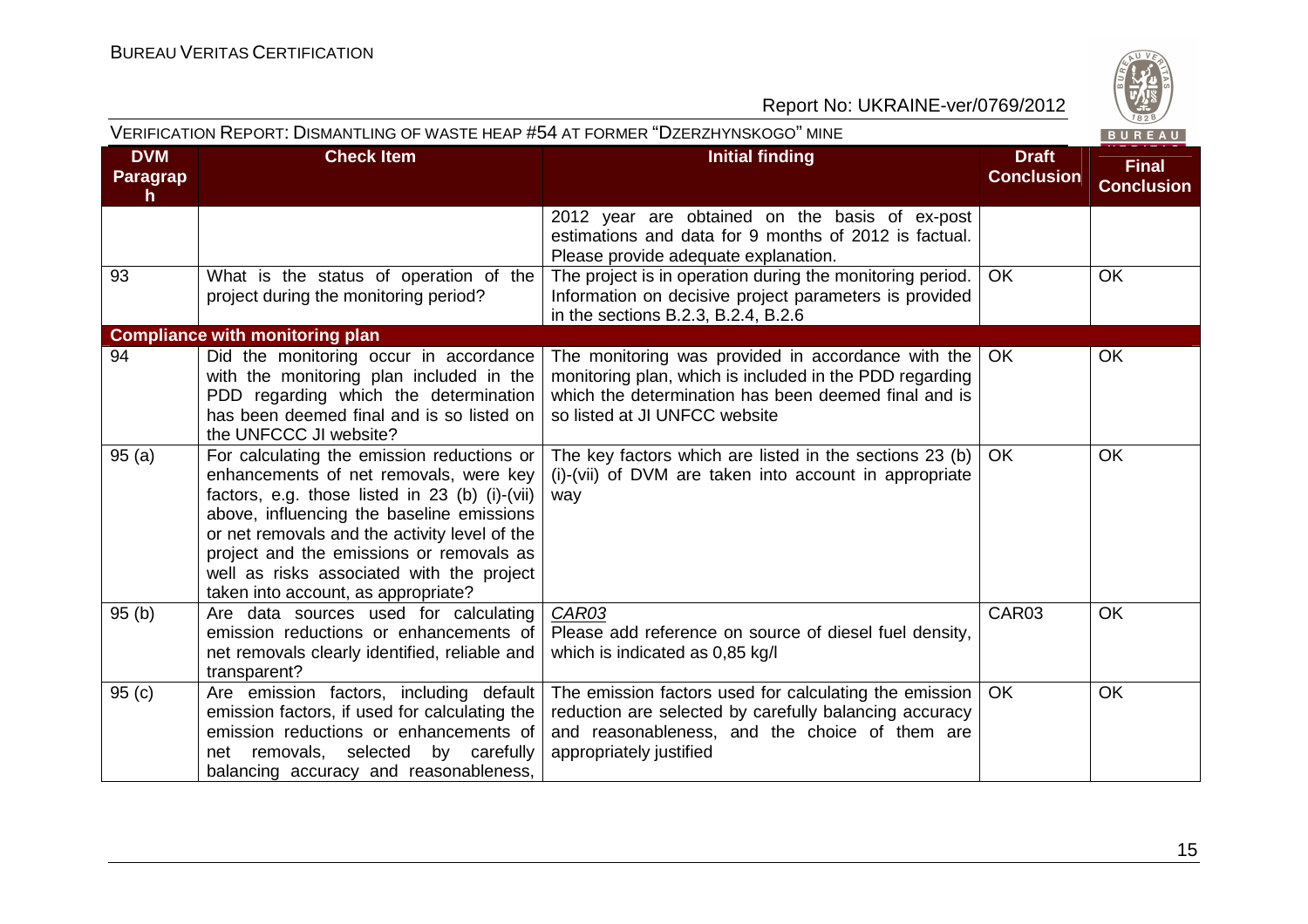

|                              | VERIFICATION REPORT: DISMANTLING OF WASTE HEAP #54 AT FORMER "DZERZHYNSKOGO" MINE                                                                                                                                                                                                                                                                                    |                                                                                                                                                                                                        |                                   | BUREAU                            |
|------------------------------|----------------------------------------------------------------------------------------------------------------------------------------------------------------------------------------------------------------------------------------------------------------------------------------------------------------------------------------------------------------------|--------------------------------------------------------------------------------------------------------------------------------------------------------------------------------------------------------|-----------------------------------|-----------------------------------|
| <b>DVM</b><br>Paragrap<br>h. | <b>Check Item</b>                                                                                                                                                                                                                                                                                                                                                    | <b>Initial finding</b>                                                                                                                                                                                 | <b>Draft</b><br><b>Conclusion</b> | <b>Final</b><br><b>Conclusion</b> |
|                              |                                                                                                                                                                                                                                                                                                                                                                      | 2012 year are obtained on the basis of ex-post<br>estimations and data for 9 months of 2012 is factual.<br>Please provide adequate explanation.                                                        |                                   |                                   |
| 93                           | What is the status of operation of the<br>project during the monitoring period?                                                                                                                                                                                                                                                                                      | The project is in operation during the monitoring period.<br>Information on decisive project parameters is provided<br>in the sections B.2.3, B.2.4, B.2.6                                             | <b>OK</b>                         | OK                                |
|                              | <b>Compliance with monitoring plan</b>                                                                                                                                                                                                                                                                                                                               |                                                                                                                                                                                                        |                                   |                                   |
| 94                           | Did the monitoring occur in accordance<br>with the monitoring plan included in the<br>PDD regarding which the determination<br>has been deemed final and is so listed on<br>the UNFCCC JI website?                                                                                                                                                                   | The monitoring was provided in accordance with the<br>monitoring plan, which is included in the PDD regarding<br>which the determination has been deemed final and is<br>so listed at JI UNFCC website | <b>OK</b>                         | OK                                |
| 95(a)                        | For calculating the emission reductions or<br>enhancements of net removals, were key<br>factors, e.g. those listed in 23 (b) (i)-(vii)<br>above, influencing the baseline emissions<br>or net removals and the activity level of the<br>project and the emissions or removals as<br>well as risks associated with the project<br>taken into account, as appropriate? | The key factors which are listed in the sections 23 (b)<br>(i)-(vii) of DVM are taken into account in appropriate<br>way                                                                               | OK                                | <b>OK</b>                         |
| 95(b)                        | Are data sources used for calculating<br>emission reductions or enhancements of<br>net removals clearly identified, reliable and<br>transparent?                                                                                                                                                                                                                     | CAR03<br>Please add reference on source of diesel fuel density,<br>which is indicated as 0,85 kg/l                                                                                                     | CAR03                             | <b>OK</b>                         |
| 95(c)                        | Are emission factors, including default<br>emission factors, if used for calculating the<br>emission reductions or enhancements of<br>net removals, selected by carefully<br>balancing accuracy and reasonableness,                                                                                                                                                  | The emission factors used for calculating the emission<br>reduction are selected by carefully balancing accuracy<br>and reasonableness, and the choice of them are<br>appropriately justified          | <b>OK</b>                         | OK                                |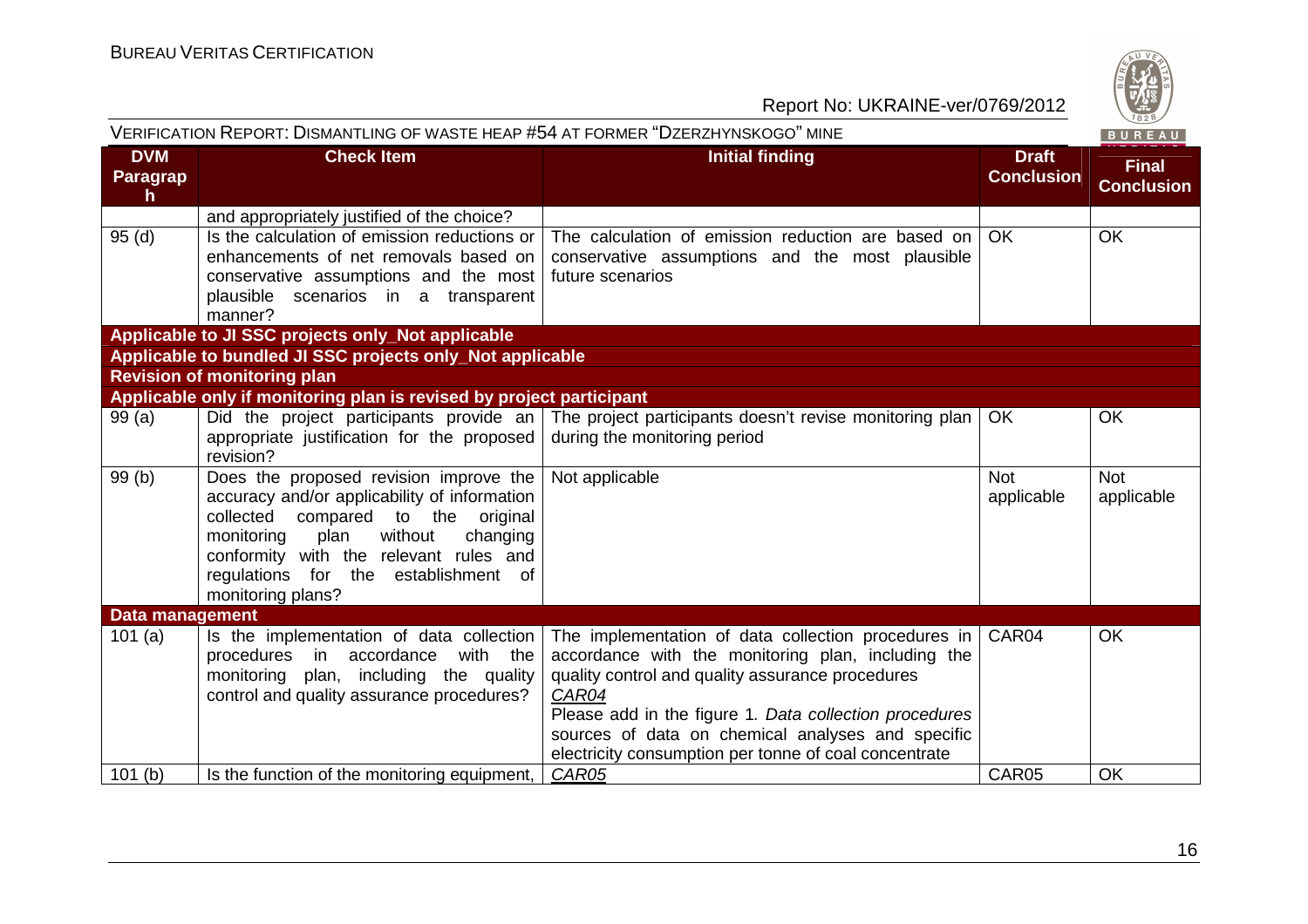

| VERIFICATION REPORT: DISMANTLING OF WASTE HEAP #54 AT FORMER "DZERZHYNSKOGO" MINE |                                                                                                                                                                                                                                                                                     |                                                                                                                                                                                                                                                                                                                                                |                                   | BUREAU                            |
|-----------------------------------------------------------------------------------|-------------------------------------------------------------------------------------------------------------------------------------------------------------------------------------------------------------------------------------------------------------------------------------|------------------------------------------------------------------------------------------------------------------------------------------------------------------------------------------------------------------------------------------------------------------------------------------------------------------------------------------------|-----------------------------------|-----------------------------------|
| <b>DVM</b><br>Paragrap<br>$\mathsf{h}$                                            | <b>Check Item</b>                                                                                                                                                                                                                                                                   | <b>Initial finding</b>                                                                                                                                                                                                                                                                                                                         | <b>Draft</b><br><b>Conclusion</b> | <b>Final</b><br><b>Conclusion</b> |
|                                                                                   | and appropriately justified of the choice?                                                                                                                                                                                                                                          |                                                                                                                                                                                                                                                                                                                                                |                                   |                                   |
| 95(d)                                                                             | Is the calculation of emission reductions or<br>enhancements of net removals based on<br>conservative assumptions and the most<br>plausible scenarios in a transparent<br>manner?                                                                                                   | The calculation of emission reduction are based on<br>conservative assumptions and the most plausible<br>future scenarios                                                                                                                                                                                                                      | <b>OK</b>                         | <b>OK</b>                         |
|                                                                                   | Applicable to JI SSC projects only_Not applicable                                                                                                                                                                                                                                   |                                                                                                                                                                                                                                                                                                                                                |                                   |                                   |
|                                                                                   | Applicable to bundled JI SSC projects only_Not applicable<br><b>Revision of monitoring plan</b>                                                                                                                                                                                     |                                                                                                                                                                                                                                                                                                                                                |                                   |                                   |
|                                                                                   | Applicable only if monitoring plan is revised by project participant                                                                                                                                                                                                                |                                                                                                                                                                                                                                                                                                                                                |                                   |                                   |
| 99(a)                                                                             | Did the project participants provide an<br>appropriate justification for the proposed<br>revision?                                                                                                                                                                                  | The project participants doesn't revise monitoring plan<br>during the monitoring period                                                                                                                                                                                                                                                        | <b>OK</b>                         | <b>OK</b>                         |
| 99(b)                                                                             | Does the proposed revision improve the<br>accuracy and/or applicability of information<br>compared to the original<br>collected<br>plan<br>without<br>changing<br>monitoring<br>conformity with the relevant rules and<br>regulations for the establishment of<br>monitoring plans? | Not applicable                                                                                                                                                                                                                                                                                                                                 | <b>Not</b><br>applicable          | <b>Not</b><br>applicable          |
| <b>Data management</b>                                                            |                                                                                                                                                                                                                                                                                     |                                                                                                                                                                                                                                                                                                                                                |                                   |                                   |
| 101(a)                                                                            | Is the implementation of data collection<br>procedures in accordance<br>with the<br>monitoring<br>plan, including the quality<br>control and quality assurance procedures?                                                                                                          | The implementation of data collection procedures in<br>accordance with the monitoring plan, including the<br>quality control and quality assurance procedures<br>CAR04<br>Please add in the figure 1. Data collection procedures<br>sources of data on chemical analyses and specific<br>electricity consumption per tonne of coal concentrate | CAR04                             | <b>OK</b>                         |
| 101(b)                                                                            | Is the function of the monitoring equipment,                                                                                                                                                                                                                                        | CAR05                                                                                                                                                                                                                                                                                                                                          | CAR05                             | OK                                |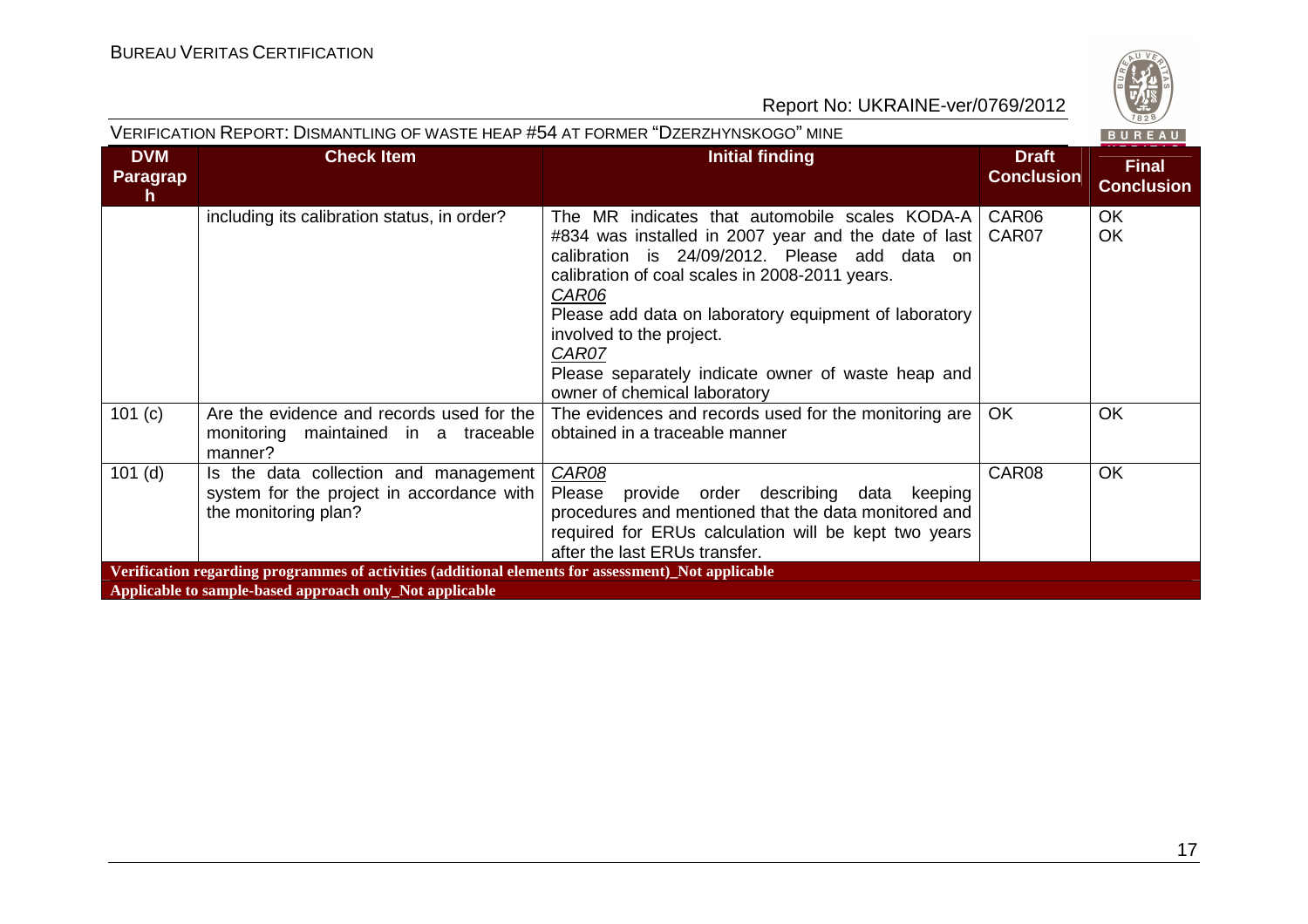

|                                        | VERIFICATION REPORT: DISMANTLING OF WASTE HEAP #54 AT FORMER "DZERZHYNSKOGO" MINE                          |                                                                                                                                                                                                                                                                                                                                                                                                        |                                   | BUREAU                            |  |  |  |
|----------------------------------------|------------------------------------------------------------------------------------------------------------|--------------------------------------------------------------------------------------------------------------------------------------------------------------------------------------------------------------------------------------------------------------------------------------------------------------------------------------------------------------------------------------------------------|-----------------------------------|-----------------------------------|--|--|--|
| <b>DVM</b><br>Paragrap<br>$\mathsf{h}$ | <b>Check Item</b>                                                                                          | <b>Initial finding</b>                                                                                                                                                                                                                                                                                                                                                                                 | <b>Draft</b><br><b>Conclusion</b> | <b>Final</b><br><b>Conclusion</b> |  |  |  |
|                                        | including its calibration status, in order?                                                                | The MR indicates that automobile scales KODA-A<br>#834 was installed in 2007 year and the date of last<br>calibration is 24/09/2012. Please add data on<br>calibration of coal scales in 2008-2011 years.<br>CAR06<br>Please add data on laboratory equipment of laboratory<br>involved to the project.<br>CAR07<br>Please separately indicate owner of waste heap and<br>owner of chemical laboratory | CAR06<br>CAR07                    | <b>OK</b><br><b>OK</b>            |  |  |  |
| 101 (c)                                | Are the evidence and records used for the<br>monitoring maintained in a traceable<br>manner?               | The evidences and records used for the monitoring are  <br>obtained in a traceable manner                                                                                                                                                                                                                                                                                                              | OK.                               | <b>OK</b>                         |  |  |  |
| $101$ (d)                              | Is the data collection and management<br>system for the project in accordance with<br>the monitoring plan? | CAR08<br>Please provide order describing<br>data<br>keeping<br>procedures and mentioned that the data monitored and<br>required for ERUs calculation will be kept two years<br>after the last ERUs transfer.                                                                                                                                                                                           | CAR08                             | <b>OK</b>                         |  |  |  |
|                                        | Verification regarding programmes of activities (additional elements for assessment)_Not applicable        |                                                                                                                                                                                                                                                                                                                                                                                                        |                                   |                                   |  |  |  |
|                                        | Applicable to sample-based approach only_Not applicable                                                    |                                                                                                                                                                                                                                                                                                                                                                                                        |                                   |                                   |  |  |  |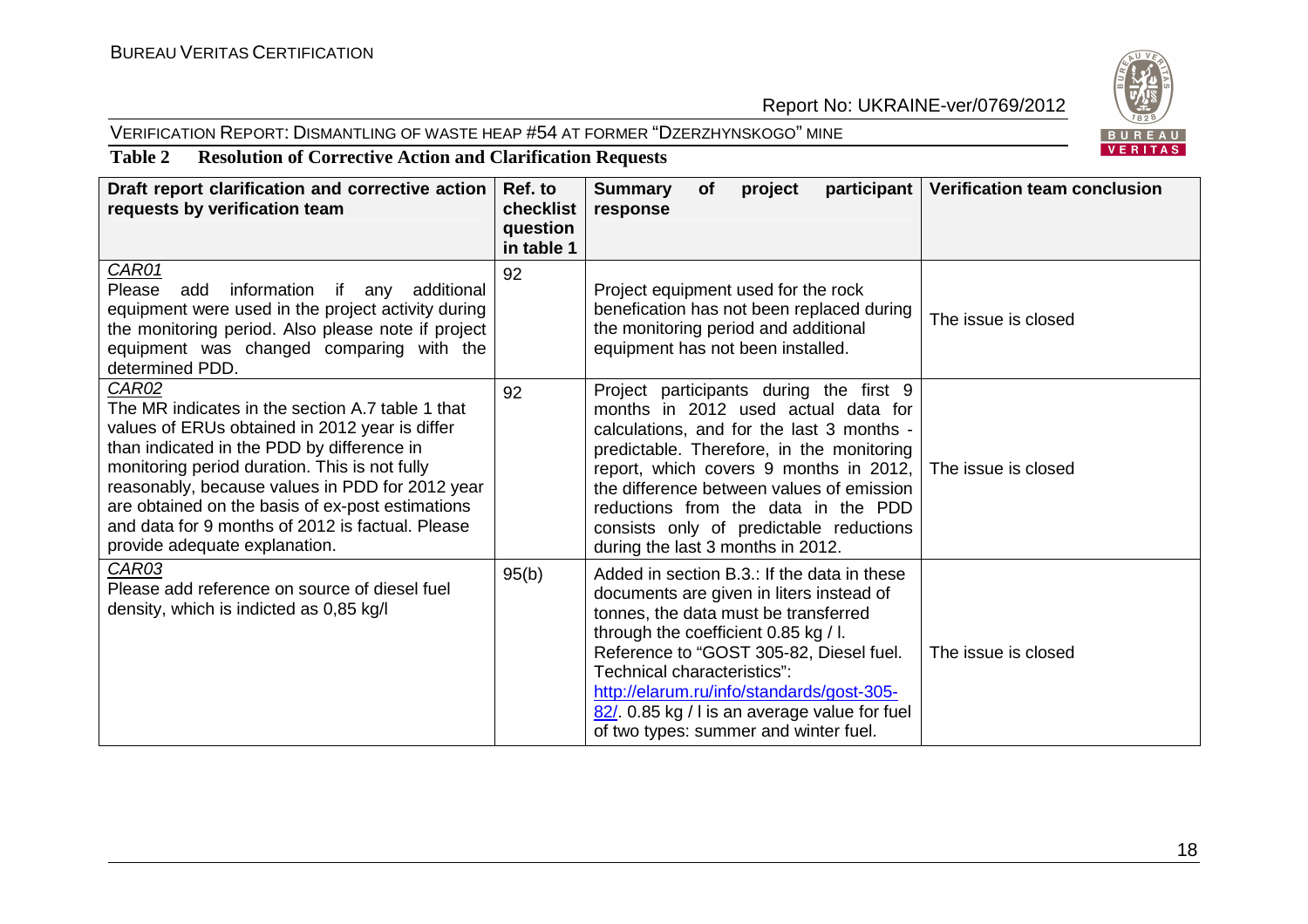#### VERIFICATION REPORT: DISMANTLING OF WASTE HEAP #54 AT FORMER "DZERZHYNSKOGO" MINE



**Table 2 Resolution of Corrective Action and Clarification Requests** 

| Draft report clarification and corrective action<br>requests by verification team                                                                                                                                                                                                                                                                                                                             | Ref. to<br>checklist<br>question<br>in table 1 | <b>Summary</b><br>project<br>participant   Verification team conclusion<br><b>of</b><br>response                                                                                                                                                                                                                                                                                                               |  |
|---------------------------------------------------------------------------------------------------------------------------------------------------------------------------------------------------------------------------------------------------------------------------------------------------------------------------------------------------------------------------------------------------------------|------------------------------------------------|----------------------------------------------------------------------------------------------------------------------------------------------------------------------------------------------------------------------------------------------------------------------------------------------------------------------------------------------------------------------------------------------------------------|--|
| CAR01<br>Please add information if any additional<br>equipment were used in the project activity during<br>the monitoring period. Also please note if project<br>equipment was changed comparing with the<br>determined PDD.                                                                                                                                                                                  | 92                                             | Project equipment used for the rock<br>benefication has not been replaced during<br>The issue is closed<br>the monitoring period and additional<br>equipment has not been installed.                                                                                                                                                                                                                           |  |
| <b>CAR02</b><br>The MR indicates in the section A.7 table 1 that<br>values of ERUs obtained in 2012 year is differ<br>than indicated in the PDD by difference in<br>monitoring period duration. This is not fully<br>reasonably, because values in PDD for 2012 year<br>are obtained on the basis of ex-post estimations<br>and data for 9 months of 2012 is factual. Please<br>provide adequate explanation. | 92                                             | Project participants during the first 9<br>months in 2012 used actual data for<br>calculations, and for the last 3 months -<br>predictable. Therefore, in the monitoring<br>report, which covers 9 months in 2012, The issue is closed<br>the difference between values of emission<br>reductions from the data in the PDD<br>consists only of predictable reductions<br>during the last 3 months in 2012.     |  |
| CAR03<br>Please add reference on source of diesel fuel<br>density, which is indicted as 0,85 kg/l                                                                                                                                                                                                                                                                                                             | 95(b)                                          | Added in section B.3.: If the data in these<br>documents are given in liters instead of<br>tonnes, the data must be transferred<br>through the coefficient 0.85 kg / l.<br>Reference to "GOST 305-82, Diesel fuel.<br>The issue is closed<br>Technical characteristics":<br>http://elarum.ru/info/standards/gost-305-<br>82/ 0.85 kg / I is an average value for fuel<br>of two types: summer and winter fuel. |  |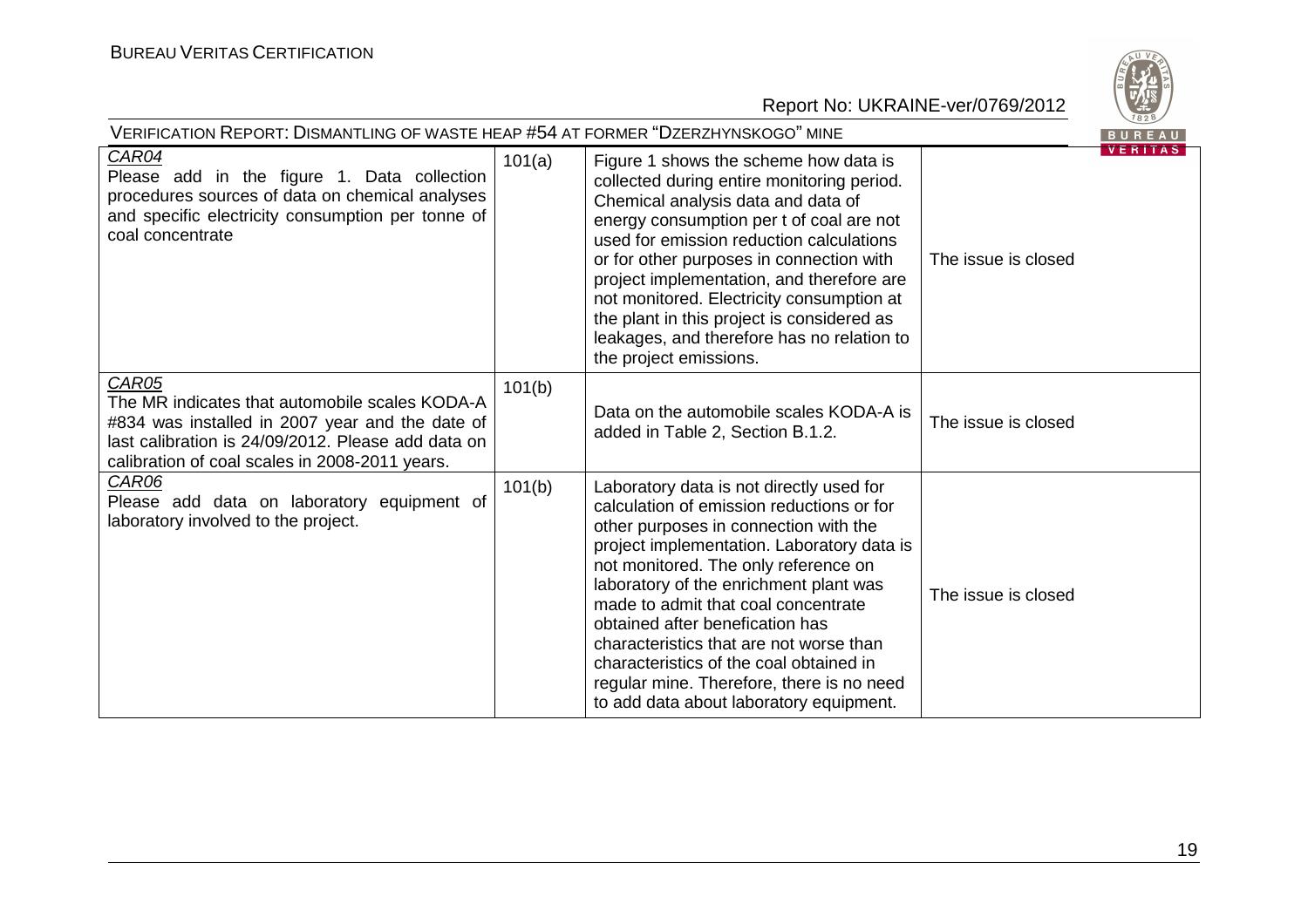

| VERIFICATION REPORT: DISMANTLING OF WASTE HEAP #54 AT FORMER "DZERZHYNSKOGO" MINE                                                                                                                                  |        |                                                                                                                                                                                                                                                                                                                                                                                                                                                                                                                        |                     | BUREAU         |
|--------------------------------------------------------------------------------------------------------------------------------------------------------------------------------------------------------------------|--------|------------------------------------------------------------------------------------------------------------------------------------------------------------------------------------------------------------------------------------------------------------------------------------------------------------------------------------------------------------------------------------------------------------------------------------------------------------------------------------------------------------------------|---------------------|----------------|
| <b>CAR04</b><br>Please add in the figure 1. Data collection<br>procedures sources of data on chemical analyses<br>and specific electricity consumption per tonne of<br>coal concentrate                            | 101(a) | Figure 1 shows the scheme how data is<br>collected during entire monitoring period.<br>Chemical analysis data and data of<br>energy consumption per t of coal are not<br>used for emission reduction calculations<br>or for other purposes in connection with<br>project implementation, and therefore are<br>not monitored. Electricity consumption at<br>the plant in this project is considered as<br>leakages, and therefore has no relation to<br>the project emissions.                                          | The issue is closed | <b>VERITAS</b> |
| CAR05<br>The MR indicates that automobile scales KODA-A<br>#834 was installed in 2007 year and the date of<br>last calibration is 24/09/2012. Please add data on<br>calibration of coal scales in 2008-2011 years. | 101(b) | Data on the automobile scales KODA-A is<br>added in Table 2, Section B.1.2.                                                                                                                                                                                                                                                                                                                                                                                                                                            | The issue is closed |                |
| CAR06<br>Please add data on laboratory equipment of<br>laboratory involved to the project.                                                                                                                         | 101(b) | Laboratory data is not directly used for<br>calculation of emission reductions or for<br>other purposes in connection with the<br>project implementation. Laboratory data is<br>not monitored. The only reference on<br>laboratory of the enrichment plant was<br>made to admit that coal concentrate<br>obtained after benefication has<br>characteristics that are not worse than<br>characteristics of the coal obtained in<br>regular mine. Therefore, there is no need<br>to add data about laboratory equipment. | The issue is closed |                |